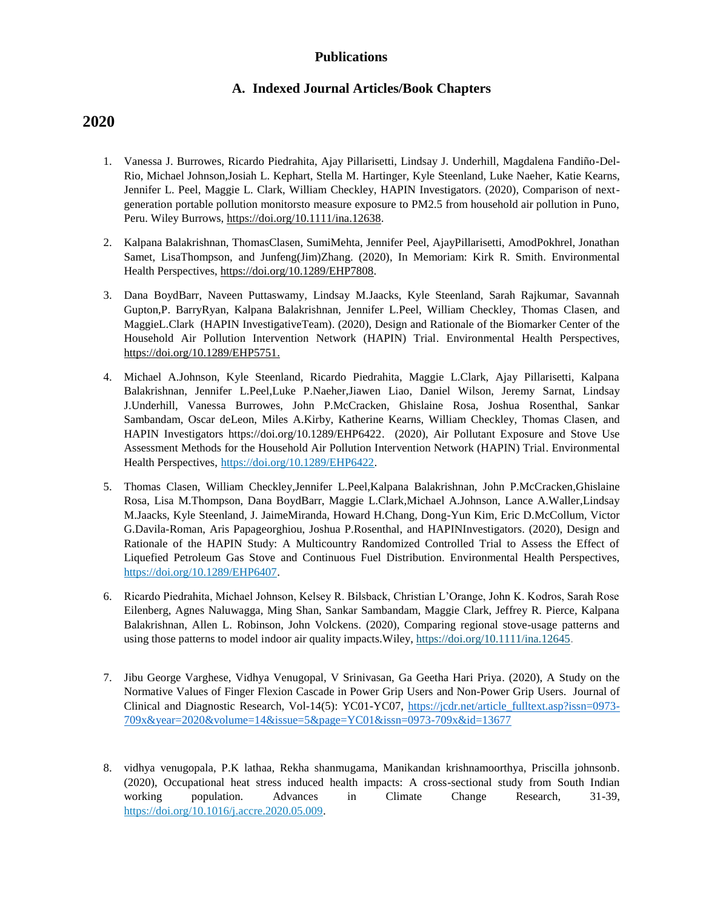### **Publications**

## **A. Indexed Journal Articles/Book Chapters**

- 1. Vanessa J. Burrowes, Ricardo Piedrahita, Ajay Pillarisetti, Lindsay J. Underhill, Magdalena Fandiño-Del-Rio, Michael Johnson,Josiah L. Kephart, Stella M. Hartinger, Kyle Steenland, Luke Naeher, Katie Kearns, Jennifer L. Peel, Maggie L. Clark, William Checkley, HAPIN Investigators. (2020), Comparison of nextgeneration portable pollution monitorsto measure exposure to PM2.5 from household air pollution in Puno, Peru. Wiley Burrows, [https://doi.org/10.1111/ina.12638.](https://doi.org/10.1111/ina.12638)
- 2. Kalpana Balakrishnan, ThomasClasen, SumiMehta, Jennifer Peel, AjayPillarisetti, AmodPokhrel, Jonathan Samet, LisaThompson, and Junfeng(Jim)Zhang. (2020), In Memoriam: Kirk R. Smith. Environmental Health Perspectives, [https://doi.org/10.1289/EHP7808.](https://doi.org/10.1289/EHP7808)
- 3. Dana BoydBarr, Naveen Puttaswamy, Lindsay M.Jaacks, Kyle Steenland, Sarah Rajkumar, Savannah Gupton,P. BarryRyan, Kalpana Balakrishnan, Jennifer L.Peel, William Checkley, Thomas Clasen, and MaggieL.Clark (HAPIN InvestigativeTeam). (2020), Design and Rationale of the Biomarker Center of the Household Air Pollution Intervention Network (HAPIN) Trial. Environmental Health Perspectives, [https://doi.org/10.1289/EHP5751.](https://doi.org/10.1289/EHP5751)
- 4. Michael A.Johnson, Kyle Steenland, Ricardo Piedrahita, Maggie L.Clark, Ajay Pillarisetti, Kalpana Balakrishnan, Jennifer L.Peel,Luke P.Naeher,Jiawen Liao, Daniel Wilson, Jeremy Sarnat, Lindsay J.Underhill, Vanessa Burrowes, John P.McCracken, Ghislaine Rosa, Joshua Rosenthal, Sankar Sambandam, Oscar deLeon, Miles A.Kirby, Katherine Kearns, William Checkley, Thomas Clasen, and HAPIN Investigators https://doi.org/10.1289/EHP6422. (2020), Air Pollutant Exposure and Stove Use Assessment Methods for the Household Air Pollution Intervention Network (HAPIN) Trial. Environmental Health Perspectives, [https://doi.org/10.1289/EHP6422.](https://doi.org/10.1289/EHP6422)
- 5. Thomas Clasen, William Checkley,Jennifer L.Peel,Kalpana Balakrishnan, John P.McCracken,Ghislaine Rosa, Lisa M.Thompson, Dana BoydBarr, Maggie L.Clark,Michael A.Johnson, Lance A.Waller,Lindsay M.Jaacks, Kyle Steenland, J. JaimeMiranda, Howard H.Chang, Dong-Yun Kim, Eric D.McCollum, Victor G.Davila-Roman, Aris Papageorghiou, Joshua P.Rosenthal, and HAPINInvestigators. (2020), Design and Rationale of the HAPIN Study: A Multicountry Randomized Controlled Trial to Assess the Effect of Liquefied Petroleum Gas Stove and Continuous Fuel Distribution. Environmental Health Perspectives, [https://doi.org/10.1289/EHP6407.](https://doi.org/10.1289/EHP6407)
- 6. Ricardo Piedrahita, Michael Johnson, Kelsey R. Bilsback, Christian L'Orange, John K. Kodros, Sarah Rose Eilenberg, Agnes Naluwagga, Ming Shan, Sankar Sambandam, Maggie Clark, Jeffrey R. Pierce, Kalpana Balakrishnan, Allen L. Robinson, John Volckens. (2020), Comparing regional stove-usage patterns and using those patterns to model indoor air quality impacts.Wiley[, https://doi.org/10.1111/ina.12645.](https://doi.org/10.1111/ina.12645)
- 7. Jibu George Varghese, Vidhya Venugopal, V Srinivasan, Ga Geetha Hari Priya. (2020), A Study on the Normative Values of Finger Flexion Cascade in Power Grip Users and Non-Power Grip Users. Journal of Clinical and Diagnostic Research, Vol-14(5): YC01-YC07, [https://jcdr.net/article\\_fulltext.asp?issn=0973-](https://jcdr.net/article_fulltext.asp?issn=0973-709x&year=2020&volume=14&issue=5&page=YC01&issn=0973-709x&id=13677) [709x&year=2020&volume=14&issue=5&page=YC01&issn=0973-709x&id=13677](https://jcdr.net/article_fulltext.asp?issn=0973-709x&year=2020&volume=14&issue=5&page=YC01&issn=0973-709x&id=13677)
- 8. vidhya venugopala, P.K lathaa, Rekha shanmugama, Manikandan krishnamoorthya, Priscilla johnsonb. (2020), Occupational heat stress induced health impacts: A cross-sectional study from South Indian working population. Advances in Climate Change Research, 31-39, [https://doi.org/10.1016/j.accre.2020.05.009.](https://doi.org/10.1016/j.accre.2020.05.009)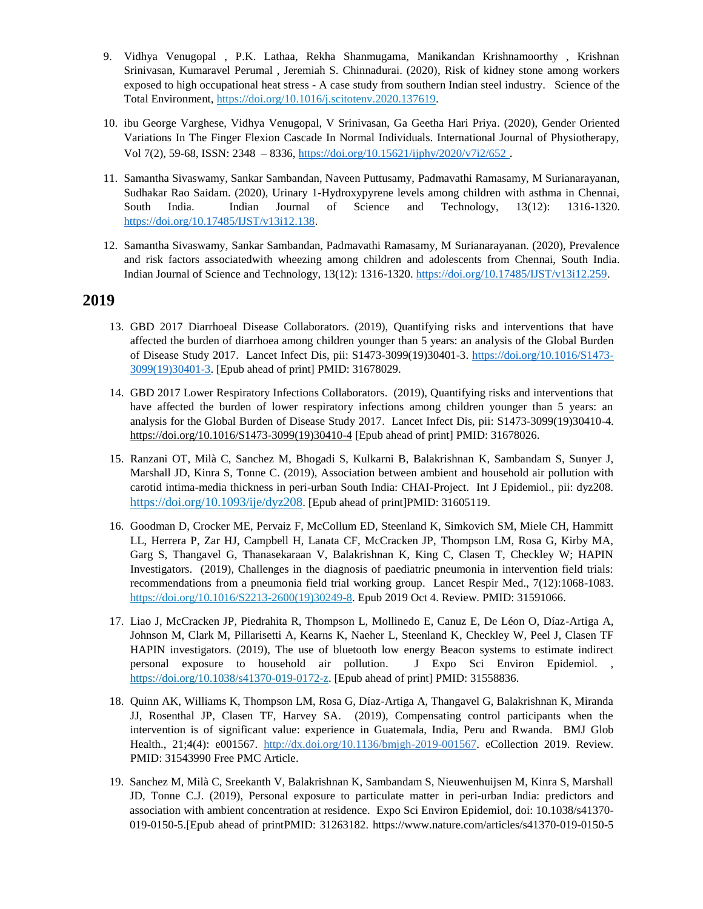- 9. Vidhya Venugopal , P.K. Lathaa, Rekha Shanmugama, Manikandan Krishnamoorthy , Krishnan Srinivasan, Kumaravel Perumal , Jeremiah S. Chinnadurai. (2020), Risk of kidney stone among workers exposed to high occupational heat stress - A case study from southern Indian steel industry. Science of the Total Environment, [https://doi.org/10.1016/j.scitotenv.2020.137619.](https://doi.org/10.1016/j.scitotenv.2020.137619)
- 10. ibu George Varghese, Vidhya Venugopal, V Srinivasan, Ga Geetha Hari Priya. (2020), Gender Oriented Variations In The Finger Flexion Cascade In Normal Individuals. International Journal of Physiotherapy, Vol 7(2), 59-68, ISSN: 2348 – 8336, <https://doi.org/10.15621/ijphy/2020/v7i2/652> .
- 11. Samantha Sivaswamy, Sankar Sambandan, Naveen Puttusamy, Padmavathi Ramasamy, M Surianarayanan, Sudhakar Rao Saidam. (2020), Urinary 1-Hydroxypyrene levels among children with asthma in Chennai, South India. Indian Journal of Science and Technology, 13(12): 1316-1320. [https://doi.org/10.17485/IJST/v13i12.138.](https://doi.org/10.17485/IJST/v13i12.138)
- 12. Samantha Sivaswamy, Sankar Sambandan, Padmavathi Ramasamy, M Surianarayanan. (2020), Prevalence and risk factors associatedwith wheezing among children and adolescents from Chennai, South India. Indian Journal of Science and Technology, 13(12): 1316-1320[. https://doi.org/10.17485/IJST/v13i12.259.](https://doi.org/10.17485/IJST/v13i12.259)

- 13. GBD 2017 Diarrhoeal Disease Collaborators. (2019), Quantifying risks and interventions that have affected the burden of diarrhoea among children younger than 5 years: an analysis of the Global Burden of Disease Study 2017. Lancet Infect Dis, pii: S1473-3099(19)30401-3. [https://doi.org/10.1016/S1473-](https://doi.org/10.1016/S1473-3099(19)30401-3) [3099\(19\)30401-3.](https://doi.org/10.1016/S1473-3099(19)30401-3) [Epub ahead of print] PMID: 31678029.
- 14. GBD 2017 Lower Respiratory Infections Collaborators. (2019), Quantifying risks and interventions that have affected the burden of lower respiratory infections among children younger than 5 years: an analysis for the Global Burden of Disease Study 2017. Lancet Infect Dis, pii: S1473-3099(19)30410-4. [https://doi.org/10.1016/S1473-3099\(19\)30410-4](https://doi.org/10.1016/S1473-3099(19)30410-4) [Epub ahead of print] PMID: 31678026.
- 15. Ranzani OT, Milà C, Sanchez M, Bhogadi S, Kulkarni B, Balakrishnan K, Sambandam S, Sunyer J, Marshall JD, Kinra S, Tonne C. (2019), Association between ambient and household air pollution with carotid intima-media thickness in peri-urban South India: CHAI-Project. Int J Epidemiol., pii: dyz208. <https://doi.org/10.1093/ije/dyz208>. [Epub ahead of print]PMID: 31605119.
- 16. Goodman D, Crocker ME, Pervaiz F, McCollum ED, Steenland K, Simkovich SM, Miele CH, Hammitt LL, Herrera P, Zar HJ, Campbell H, Lanata CF, McCracken JP, Thompson LM, Rosa G, Kirby MA, Garg S, Thangavel G, Thanasekaraan V, Balakrishnan K, King C, Clasen T, Checkley W; HAPIN Investigators. (2019), Challenges in the diagnosis of paediatric pneumonia in intervention field trials: recommendations from a pneumonia field trial working group. Lancet Respir Med., 7(12):1068-1083. [https://doi.org/10.1016/S2213-2600\(19\)30249-8.](https://doi.org/10.1016/S2213-2600(19)30249-8) Epub 2019 Oct 4. Review. PMID: 31591066.
- 17. Liao J, McCracken JP, Piedrahita R, Thompson L, Mollinedo E, Canuz E, De Léon O, Díaz-Artiga A, Johnson M, Clark M, Pillarisetti A, Kearns K, Naeher L, Steenland K, Checkley W, Peel J, Clasen TF HAPIN investigators. (2019), The use of bluetooth low energy Beacon systems to estimate indirect personal exposure to household air pollution. J Expo Sci Environ Epidemiol. [https://doi.org/10.1038/s41370-019-0172-z.](https://doi.org/10.1038/s41370-019-0172-z) [Epub ahead of print] PMID: 31558836.
- 18. Quinn AK, Williams K, Thompson LM, Rosa G, Díaz-Artiga A, Thangavel G, Balakrishnan K, Miranda JJ, Rosenthal JP, Clasen TF, Harvey SA. (2019), Compensating control participants when the intervention is of significant value: experience in Guatemala, India, Peru and Rwanda. BMJ Glob Health., 21;4(4): e001567. [http://dx.doi.org/10.1136/bmjgh-2019-001567.](http://dx.doi.org/10.1136/bmjgh-2019-001567) eCollection 2019. Review. PMID: 31543990 Free PMC Article.
- 19. Sanchez M, Milà C, Sreekanth V, Balakrishnan K, Sambandam S, Nieuwenhuijsen M, Kinra S, Marshall JD, Tonne C.J. (2019), Personal exposure to particulate matter in peri-urban India: predictors and association with ambient concentration at residence. Expo Sci Environ Epidemiol, doi: 10.1038/s41370- 019-0150-5.[Epub ahead of printPMID: 31263182. https://www.nature.com/articles/s41370-019-0150-5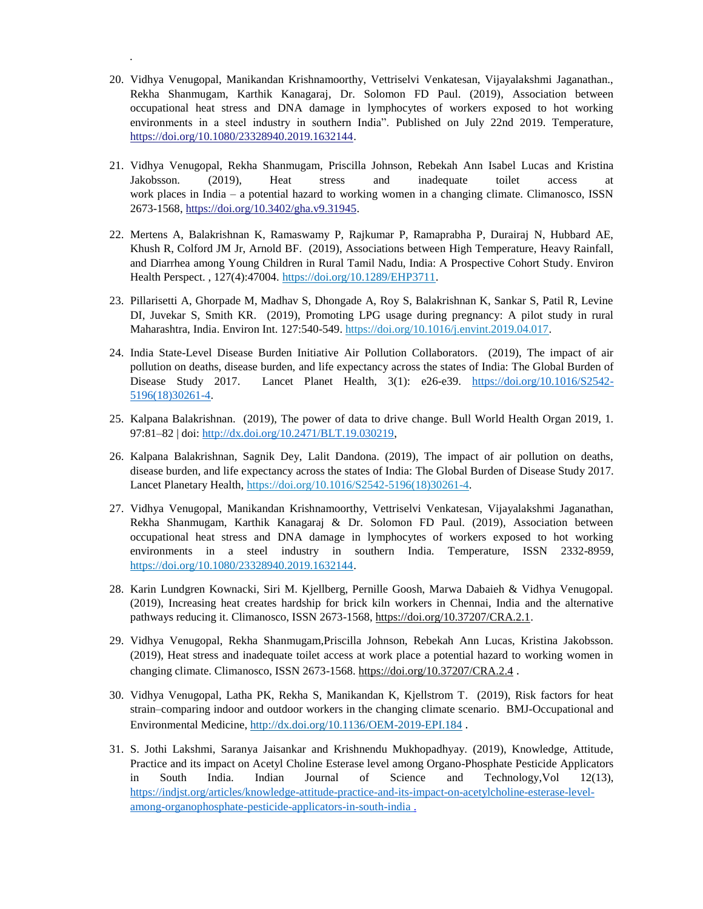20. Vidhya Venugopal, Manikandan Krishnamoorthy, Vettriselvi Venkatesan, Vijayalakshmi Jaganathan., Rekha Shanmugam, Karthik Kanagaraj, Dr. Solomon FD Paul. (2019), Association between occupational heat stress and DNA damage in lymphocytes of workers exposed to hot working environments in a steel industry in southern India". Published on July 22nd 2019. Temperature, [https://doi.org/10.1080/23328940.2019.1632144.](https://doi.org/10.1080/23328940.2019.1632144)

.

- 21. Vidhya Venugopal, Rekha Shanmugam, Priscilla Johnson, Rebekah Ann Isabel Lucas and Kristina Jakobsson. (2019), Heat stress and inadequate toilet access at work places in India – a potential hazard to working women in a changing climate. Climanosco, ISSN 2673-1568[, https://doi.org/10.3402/gha.v9.31945.](https://doi.org/10.3402/gha.v9.31945)
- 22. Mertens A, Balakrishnan K, Ramaswamy P, Rajkumar P, Ramaprabha P, Durairaj N, Hubbard AE, Khush R, Colford JM Jr, Arnold BF. (2019), Associations between High Temperature, Heavy Rainfall, and Diarrhea among Young Children in Rural Tamil Nadu, India: A Prospective Cohort Study. Environ Health Perspect. , 127(4):47004. [https://doi.org/10.1289/EHP3711.](https://doi.org/10.1289/EHP3711)
- 23. Pillarisetti A, Ghorpade M, Madhav S, Dhongade A, Roy S, Balakrishnan K, Sankar S, Patil R, Levine DI, Juvekar S, Smith KR. (2019), Promoting LPG usage during pregnancy: A pilot study in rural Maharashtra, India. Environ Int. 127:540-549. [https://doi.org/10.1016/j.envint.2019.04.017.](https://doi.org/10.1016/j.envint.2019.04.017)
- 24. India State-Level Disease Burden Initiative Air Pollution Collaborators. (2019), The impact of air pollution on deaths, disease burden, and life expectancy across the states of India: The Global Burden of Disease Study 2017. Lancet Planet Health, 3(1): e26-e39. [https://doi.org/10.1016/S2542-](https://doi.org/10.1016/S2542-5196(18)30261-4) [5196\(18\)30261-4.](https://doi.org/10.1016/S2542-5196(18)30261-4)
- 25. Kalpana Balakrishnan. (2019), The power of data to drive change. Bull World Health Organ 2019, 1. 97:81–82 | doi: [http://dx.doi.org/10.2471/BLT.19.030219,](http://dx.doi.org/10.2471/BLT.19.030219)
- 26. Kalpana Balakrishnan, Sagnik Dey, Lalit Dandona. (2019), The impact of air pollution on deaths, disease burden, and life expectancy across the states of India: The Global Burden of Disease Study 2017. Lancet Planetary Health, [https://doi.org/10.1016/S2542-5196\(18\)30261-4.](https://doi.org/10.1016/S2542-5196(18)30261-4)
- 27. Vidhya Venugopal, Manikandan Krishnamoorthy, Vettriselvi Venkatesan, Vijayalakshmi Jaganathan, Rekha Shanmugam, Karthik Kanagaraj & Dr. Solomon FD Paul. (2019), Association between occupational heat stress and DNA damage in lymphocytes of workers exposed to hot working environments in a steel industry in southern India. Temperature, ISSN 2332-8959, [https://doi.org/10.1080/23328940.2019.1632144.](https://doi.org/10.1080/23328940.2019.1632144)
- 28. Karin Lundgren Kownacki, Siri M. Kjellberg, Pernille Goosh, Marwa Dabaieh & Vidhya Venugopal. (2019), Increasing heat creates hardship for brick kiln workers in Chennai, India and the alternative pathways reducing it. Climanosco, ISSN 2673-1568, [https://doi.org/10.37207/CRA.2.1.](https://doi.org/10.37207/CRA.2.1)
- 29. Vidhya Venugopal, Rekha Shanmugam,Priscilla Johnson, Rebekah Ann Lucas, Kristina Jakobsson. (2019), Heat stress and inadequate toilet access at work place a potential hazard to working women in changing climate. Climanosco, ISSN 2673-1568. <https://doi.org/10.37207/CRA.2.4> .
- 30. Vidhya Venugopal, Latha PK, Rekha S, Manikandan K, Kjellstrom T. (2019), Risk factors for heat strain–comparing indoor and outdoor workers in the changing climate scenario. BMJ-Occupational and Environmental Medicine,<http://dx.doi.org/10.1136/OEM-2019-EPI.184> .
- 31. S. Jothi Lakshmi, Saranya Jaisankar and Krishnendu Mukhopadhyay. (2019), Knowledge, Attitude, Practice and its impact on Acetyl Choline Esterase level among Organo-Phosphate Pesticide Applicators in South India. Indian Journal of Science and Technology,Vol 12(13), [https://indjst.org/articles/knowledge-attitude-practice-and-its-impact-on-acetylcholine-esterase-level](https://indjst.org/articles/knowledge-attitude-practice-and-its-impact-on-acetylcholine-esterase-level-among-organophosphate-pesticide-applicators-in-south-india)[among-organophosphate-pesticide-applicators-in-south-india .](https://indjst.org/articles/knowledge-attitude-practice-and-its-impact-on-acetylcholine-esterase-level-among-organophosphate-pesticide-applicators-in-south-india)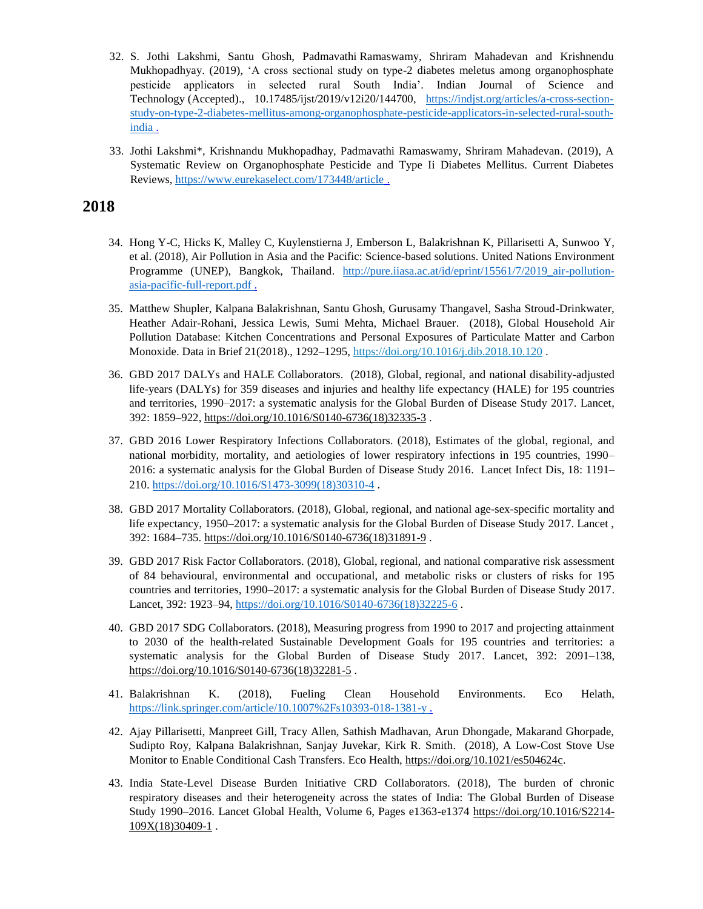- 32. S. Jothi Lakshmi, Santu Ghosh, Padmavathi Ramaswamy, Shriram Mahadevan and Krishnendu Mukhopadhyay. (2019), 'A cross sectional study on type-2 diabetes meletus among organophosphate pesticide applicators in selected rural South India'. Indian Journal of Science and Technology (Accepted)., 10.17485/ijst/2019/v12i20/144700, [https://indjst.org/articles/a-cross-section](https://indjst.org/articles/a-cross-section-study-on-type-2-diabetes-mellitus-among-organophosphate-pesticide-applicators-in-selected-rural-south-india)[study-on-type-2-diabetes-mellitus-among-organophosphate-pesticide-applicators-in-selected-rural-south](https://indjst.org/articles/a-cross-section-study-on-type-2-diabetes-mellitus-among-organophosphate-pesticide-applicators-in-selected-rural-south-india)[india .](https://indjst.org/articles/a-cross-section-study-on-type-2-diabetes-mellitus-among-organophosphate-pesticide-applicators-in-selected-rural-south-india)
- 33. Jothi Lakshmi\*, Krishnandu Mukhopadhay, Padmavathi Ramaswamy, Shriram Mahadevan. (2019), A Systematic Review on Organophosphate Pesticide and Type Ii Diabetes Mellitus. Current Diabetes Reviews, <https://www.eurekaselect.com/173448/article> .

- 34. Hong Y-C, Hicks K, Malley C, Kuylenstierna J, Emberson L, Balakrishnan K, Pillarisetti A, Sunwoo Y, et al. (2018), Air Pollution in Asia and the Pacific: Science-based solutions. United Nations Environment Programme (UNEP), Bangkok, Thailand. http://pure.iiasa.ac.at/id/eprint/15561/7/2019 air-pollution[asia-pacific-full-report.pdf .](http://pure.iiasa.ac.at/id/eprint/15561/7/2019_air-pollution-asia-pacific-full-report.pdf)
- 35. Matthew Shupler, Kalpana Balakrishnan, Santu Ghosh, Gurusamy Thangavel, Sasha Stroud-Drinkwater, Heather Adair-Rohani, Jessica Lewis, Sumi Mehta, Michael Brauer. (2018), Global Household Air Pollution Database: Kitchen Concentrations and Personal Exposures of Particulate Matter and Carbon Monoxide. Data in Brief 21(2018)., 1292–1295[, https://doi.org/10.1016/j.dib.2018.10.120](https://doi.org/10.1016/j.dib.2018.10.120) .
- 36. GBD 2017 DALYs and HALE Collaborators. (2018), Global, regional, and national disability-adjusted life-years (DALYs) for 359 diseases and injuries and healthy life expectancy (HALE) for 195 countries and territories, 1990–2017: a systematic analysis for the Global Burden of Disease Study 2017. Lancet, 392: 1859–922, [https://doi.org/10.1016/S0140-6736\(18\)32335-3](https://doi.org/10.1016/S0140-6736(18)32335-3) .
- 37. GBD 2016 Lower Respiratory Infections Collaborators. (2018), Estimates of the global, regional, and national morbidity, mortality, and aetiologies of lower respiratory infections in 195 countries, 1990– 2016: a systematic analysis for the Global Burden of Disease Study 2016. Lancet Infect Dis, 18: 1191– 210[. https://doi.org/10.1016/S1473-3099\(18\)30310-4](https://doi.org/10.1016/S1473-3099(18)30310-4) .
- 38. GBD 2017 Mortality Collaborators. (2018), Global, regional, and national age-sex-specific mortality and life expectancy, 1950–2017: a systematic analysis for the Global Burden of Disease Study 2017. Lancet, 392: 1684–735. [https://doi.org/10.1016/S0140-6736\(18\)31891-9](https://doi.org/10.1016/S0140-6736(18)31891-9) .
- 39. GBD 2017 Risk Factor Collaborators. (2018), Global, regional, and national comparative risk assessment of 84 behavioural, environmental and occupational, and metabolic risks or clusters of risks for 195 countries and territories, 1990–2017: a systematic analysis for the Global Burden of Disease Study 2017. Lancet, 392: 1923–94, [https://doi.org/10.1016/S0140-6736\(18\)32225-6](https://doi.org/10.1016/S0140-6736(18)32225-6).
- 40. GBD 2017 SDG Collaborators. (2018), Measuring progress from 1990 to 2017 and projecting attainment to 2030 of the health-related Sustainable Development Goals for 195 countries and territories: a systematic analysis for the Global Burden of Disease Study 2017. Lancet, 392: 2091–138, [https://doi.org/10.1016/S0140-6736\(18\)32281-5](https://doi.org/10.1016/S0140-6736(18)32281-5).
- 41. Balakrishnan K. (2018), Fueling Clean Household Environments. Eco Helath, [https://link.springer.com/article/10.1007%2Fs10393-018-1381-y .](https://link.springer.com/article/10.1007%2Fs10393-018-1381-y)
- 42. Ajay Pillarisetti, Manpreet Gill, Tracy Allen, Sathish Madhavan, Arun Dhongade, Makarand Ghorpade, Sudipto Roy, Kalpana Balakrishnan, Sanjay Juvekar, Kirk R. Smith. (2018), A Low-Cost Stove Use Monitor to Enable Conditional Cash Transfers. Eco Health, [https://doi.org/10.1021/es504624c.](https://doi.org/10.1021/es504624c)
- 43. India State-Level Disease Burden Initiative CRD Collaborators. (2018), The burden of chronic respiratory diseases and their heterogeneity across the states of India: The Global Burden of Disease Study 1990–2016. Lancet Global Health, Volume 6, Pages e1363-e1374 [https://doi.org/10.1016/S2214-](https://doi.org/10.1016/S2214-109X(18)30409-1) [109X\(18\)30409-1](https://doi.org/10.1016/S2214-109X(18)30409-1) .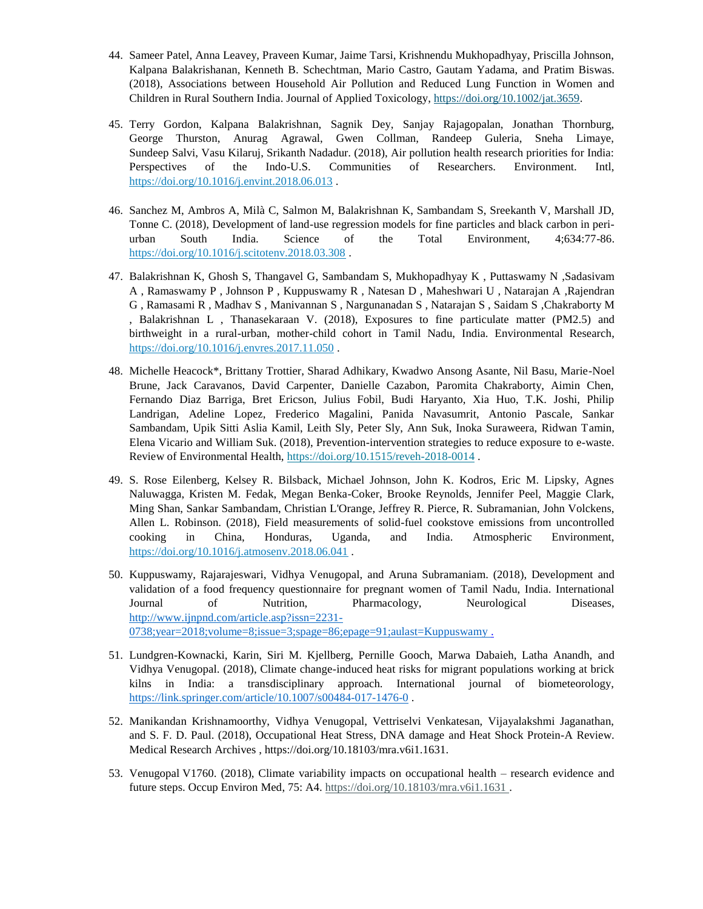- 44. Sameer Patel, Anna Leavey, Praveen Kumar, Jaime Tarsi, Krishnendu Mukhopadhyay, Priscilla Johnson, Kalpana Balakrishanan, Kenneth B. Schechtman, Mario Castro, Gautam Yadama, and Pratim Biswas. (2018), Associations between Household Air Pollution and Reduced Lung Function in Women and Children in Rural Southern India. Journal of Applied Toxicology, [https://doi.org/10.1002/jat.3659.](https://doi.org/10.1002/jat.3659)
- 45. Terry Gordon, Kalpana Balakrishnan, Sagnik Dey, Sanjay Rajagopalan, Jonathan Thornburg, George Thurston, Anurag Agrawal, Gwen Collman, Randeep Guleria, Sneha Limaye, Sundeep Salvi, Vasu Kilaruj, Srikanth Nadadur. (2018), Air pollution health research priorities for India: Perspectives of the Indo-U.S. Communities of Researchers. Environment. Intl, <https://doi.org/10.1016/j.envint.2018.06.013> .
- 46. Sanchez M, Ambros A, Milà C, Salmon M, Balakrishnan K, Sambandam S, Sreekanth V, Marshall JD, Tonne C. (2018), Development of land-use regression models for fine particles and black carbon in periurban South India. Science of the Total Environment, 4;634:77-86. <https://doi.org/10.1016/j.scitotenv.2018.03.308> .
- 47. Balakrishnan K, Ghosh S, Thangavel G, Sambandam S, Mukhopadhyay K , Puttaswamy N ,Sadasivam A , Ramaswamy P , Johnson P , Kuppuswamy R , Natesan D , Maheshwari U , Natarajan A ,Rajendran G , Ramasami R , Madhav S , Manivannan S , Nargunanadan S , Natarajan S , Saidam S ,Chakraborty M , Balakrishnan L , Thanasekaraan V. (2018), Exposures to fine particulate matter (PM2.5) and birthweight in a rural-urban, mother-child cohort in Tamil Nadu, India. Environmental Research, <https://doi.org/10.1016/j.envres.2017.11.050> .
- 48. Michelle Heacock\*, Brittany Trottier, Sharad Adhikary, Kwadwo Ansong Asante, Nil Basu, Marie-Noel Brune, Jack Caravanos, David Carpenter, Danielle Cazabon, Paromita Chakraborty, Aimin Chen, Fernando Diaz Barriga, Bret Ericson, Julius Fobil, Budi Haryanto, Xia Huo, T.K. Joshi, Philip Landrigan, Adeline Lopez, Frederico Magalini, Panida Navasumrit, Antonio Pascale, Sankar Sambandam, Upik Sitti Aslia Kamil, Leith Sly, Peter Sly, Ann Suk, Inoka Suraweera, Ridwan Tamin, Elena Vicario and William Suk. (2018), Prevention-intervention strategies to reduce exposure to e-waste. Review of Environmental Health, <https://doi.org/10.1515/reveh-2018-0014> .
- 49. S. Rose Eilenberg, Kelsey R. Bilsback, Michael Johnson, John K. Kodros, Eric M. Lipsky, Agnes Naluwagga, Kristen M. Fedak, Megan Benka-Coker, Brooke Reynolds, Jennifer Peel, Maggie Clark, Ming Shan, Sankar Sambandam, Christian L'Orange, Jeffrey R. Pierce, R. Subramanian, John Volckens, Allen L. Robinson. (2018), Field measurements of solid-fuel cookstove emissions from uncontrolled cooking in China, Honduras, Uganda, and India. Atmospheric Environment, <https://doi.org/10.1016/j.atmosenv.2018.06.041> .
- 50. Kuppuswamy, Rajarajeswari, Vidhya Venugopal, and Aruna Subramaniam. (2018), Development and validation of a food frequency questionnaire for pregnant women of Tamil Nadu, India. International Journal of Nutrition, Pharmacology, Neurological Diseases, [http://www.ijnpnd.com/article.asp?issn=2231-](http://www.ijnpnd.com/article.asp?issn=2231-0738;year=2018;volume=8;issue=3;spage=86;epage=91;aulast=Kuppuswamy%20) [0738;year=2018;volume=8;issue=3;spage=86;epage=91;aulast=Kuppuswamy .](http://www.ijnpnd.com/article.asp?issn=2231-0738;year=2018;volume=8;issue=3;spage=86;epage=91;aulast=Kuppuswamy%20)
- 51. Lundgren-Kownacki, Karin, Siri M. Kjellberg, Pernille Gooch, Marwa Dabaieh, Latha Anandh, and Vidhya Venugopal. (2018), Climate change-induced heat risks for migrant populations working at brick kilns in India: a transdisciplinary approach. International journal of biometeorology, <https://link.springer.com/article/10.1007/s00484-017-1476-0> .
- 52. Manikandan Krishnamoorthy, Vidhya Venugopal, Vettriselvi Venkatesan, Vijayalakshmi Jaganathan, and S. F. D. Paul. (2018), Occupational Heat Stress, DNA damage and Heat Shock Protein-A Review. Medical Research Archives , https://doi.org/10.18103/mra.v6i1.1631.
- 53. Venugopal V1760. (2018), Climate variability impacts on occupational health research evidence and future steps. Occup Environ Med, 75: A4. [https://doi.org/10.18103/mra.v6i1.1631 .](https://doi.org/10.18103/mra.v6i1.1631)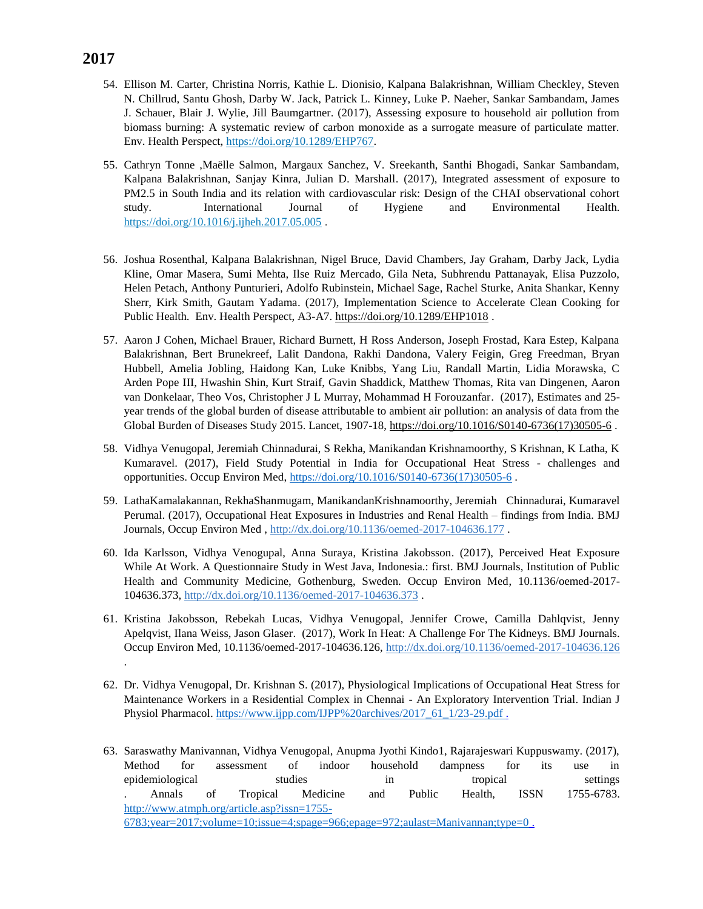- 54. Ellison M. Carter, Christina Norris, Kathie L. Dionisio, Kalpana Balakrishnan, William Checkley, Steven N. Chillrud, Santu Ghosh, Darby W. Jack, Patrick L. Kinney, Luke P. Naeher, Sankar Sambandam, James J. Schauer, Blair J. Wylie, Jill Baumgartner. (2017), Assessing exposure to household air pollution from biomass burning: A systematic review of carbon monoxide as a surrogate measure of particulate matter. Env. Health Perspect, [https://doi.org/10.1289/EHP767.](https://doi.org/10.1289/EHP767)
- 55. Cathryn Tonne ,Maëlle Salmon, Margaux Sanchez, V. Sreekanth, Santhi Bhogadi, Sankar Sambandam, Kalpana Balakrishnan, Sanjay Kinra, Julian D. Marshall. (2017), Integrated assessment of exposure to PM2.5 in South India and its relation with cardiovascular risk: Design of the CHAI observational cohort study. International Journal of Hygiene and Environmental Health. <https://doi.org/10.1016/j.ijheh.2017.05.005>.
- 56. Joshua Rosenthal, Kalpana Balakrishnan, Nigel Bruce, David Chambers, Jay Graham, Darby Jack, Lydia Kline, Omar Masera, Sumi Mehta, Ilse Ruiz Mercado, Gila Neta, Subhrendu Pattanayak, Elisa Puzzolo, Helen Petach, Anthony Punturieri, Adolfo Rubinstein, Michael Sage, Rachel Sturke, Anita Shankar, Kenny Sherr, Kirk Smith, Gautam Yadama. (2017), Implementation Science to Accelerate Clean Cooking for Public Health. Env. Health Perspect, A3-A7. <https://doi.org/10.1289/EHP1018>.
- 57. Aaron J Cohen, Michael Brauer, Richard Burnett, H Ross Anderson, Joseph Frostad, Kara Estep, Kalpana Balakrishnan, Bert Brunekreef, Lalit Dandona, Rakhi Dandona, Valery Feigin, Greg Freedman, Bryan Hubbell, Amelia Jobling, Haidong Kan, Luke Knibbs, Yang Liu, Randall Martin, Lidia Morawska, C Arden Pope III, Hwashin Shin, Kurt Straif, Gavin Shaddick, Matthew Thomas, Rita van Dingenen, Aaron van Donkelaar, Theo Vos, Christopher J L Murray, Mohammad H Forouzanfar. (2017), Estimates and 25 year trends of the global burden of disease attributable to ambient air pollution: an analysis of data from the Global Burden of Diseases Study 2015. Lancet, 1907-18, [https://doi.org/10.1016/S0140-6736\(17\)30505-6](https://doi.org/10.1016/S0140-6736(17)30505-6) .
- 58. Vidhya Venugopal, Jeremiah Chinnadurai, S Rekha, Manikandan Krishnamoorthy, S Krishnan, K Latha, K Kumaravel. (2017), Field Study Potential in India for Occupational Heat Stress - challenges and opportunities. Occup Environ Med, [https://doi.org/10.1016/S0140-6736\(17\)30505-6](https://doi.org/10.1016/S0140-6736(17)30505-6).
- 59. LathaKamalakannan, RekhaShanmugam, ManikandanKrishnamoorthy, Jeremiah Chinnadurai, Kumaravel Perumal. (2017), Occupational Heat Exposures in Industries and Renal Health – findings from India. BMJ Journals, Occup Environ Med,<http://dx.doi.org/10.1136/oemed-2017-104636.177>.
- 60. Ida Karlsson, Vidhya Venogupal, Anna Suraya, Kristina Jakobsson. (2017), Perceived Heat Exposure While At Work. A Questionnaire Study in West Java, Indonesia.: first. BMJ Journals, Institution of Public Health and Community Medicine, Gothenburg, Sweden. Occup Environ Med, 10.1136/oemed-2017- 104636.373[, http://dx.doi.org/10.1136/oemed-2017-104636.373](http://dx.doi.org/10.1136/oemed-2017-104636.373) .
- 61. Kristina Jakobsson, Rebekah Lucas, Vidhya Venugopal, Jennifer Crowe, Camilla Dahlqvist, Jenny Apelqvist, Ilana Weiss, Jason Glaser. (2017), Work In Heat: A Challenge For The Kidneys. BMJ Journals. Occup Environ Med, 10.1136/oemed-2017-104636.126,<http://dx.doi.org/10.1136/oemed-2017-104636.126> .
- 62. Dr. Vidhya Venugopal, Dr. Krishnan S. (2017), Physiological Implications of Occupational Heat Stress for Maintenance Workers in a Residential Complex in Chennai - An Exploratory Intervention Trial. Indian J Physiol Pharmacol. [https://www.ijpp.com/IJPP%20archives/2017\\_61\\_1/23-29.pdf .](https://www.ijpp.com/IJPP%20archives/2017_61_1/23-29.pdf)
- 63. Saraswathy Manivannan, Vidhya Venugopal, Anupma Jyothi Kindo1, Rajarajeswari Kuppuswamy. (2017), Method for assessment of indoor household dampness for its use in epidemiological studies in tropical settings . Annals of Tropical Medicine and Public Health, ISSN 1755-6783. [http://www.atmph.org/article.asp?issn=1755-](http://www.atmph.org/article.asp?issn=1755-6783;year=2017;volume=10;issue=4;spage=966;epage=972;aulast=Manivannan;type=0) [6783;year=2017;volume=10;issue=4;spage=966;epage=972;aulast=Manivannan;type=0](http://www.atmph.org/article.asp?issn=1755-6783;year=2017;volume=10;issue=4;spage=966;epage=972;aulast=Manivannan;type=0) .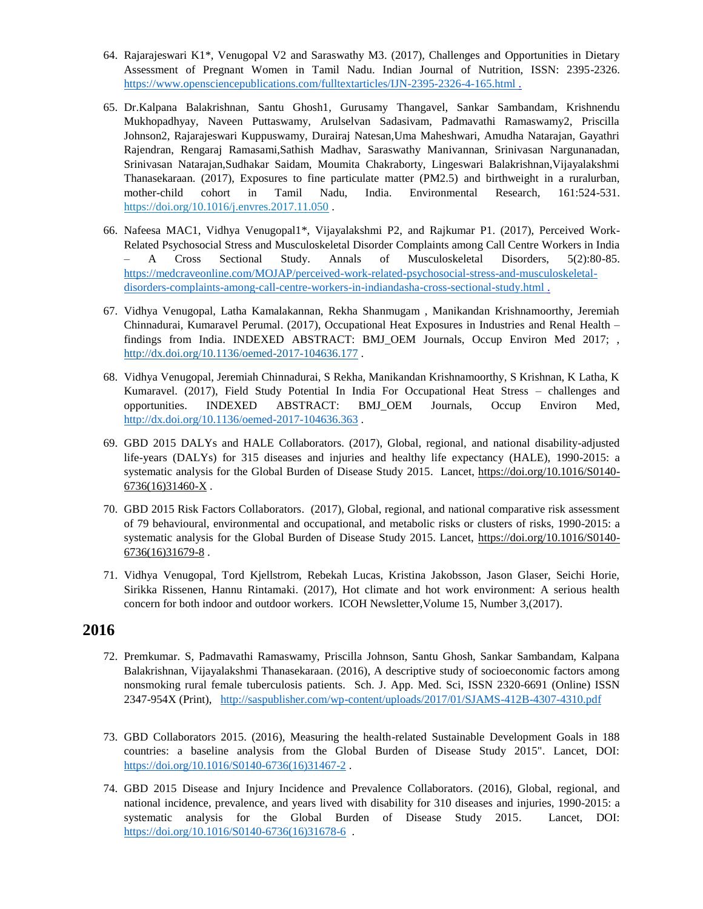- 64. Rajarajeswari K1\*, Venugopal V2 and Saraswathy M3. (2017), Challenges and Opportunities in Dietary Assessment of Pregnant Women in Tamil Nadu. Indian Journal of Nutrition, ISSN: 2395-2326. https://www.opensciencepublications.com/fulltextarticles/IJN-2395-2326-4-165.html.
- 65. Dr.Kalpana Balakrishnan, Santu Ghosh1, Gurusamy Thangavel, Sankar Sambandam, Krishnendu Mukhopadhyay, Naveen Puttaswamy, Arulselvan Sadasivam, Padmavathi Ramaswamy2, Priscilla Johnson2, Rajarajeswari Kuppuswamy, Durairaj Natesan,Uma Maheshwari, Amudha Natarajan, Gayathri Rajendran, Rengaraj Ramasami,Sathish Madhav, Saraswathy Manivannan, Srinivasan Nargunanadan, Srinivasan Natarajan,Sudhakar Saidam, Moumita Chakraborty, Lingeswari Balakrishnan,Vijayalakshmi Thanasekaraan. (2017), Exposures to fine particulate matter (PM2.5) and birthweight in a ruralurban, mother-child cohort in Tamil Nadu, India. Environmental Research, 161:524-531. <https://doi.org/10.1016/j.envres.2017.11.050> .
- 66. Nafeesa MAC1, Vidhya Venugopal1\*, Vijayalakshmi P2, and Rajkumar P1. (2017), Perceived Work-Related Psychosocial Stress and Musculoskeletal Disorder Complaints among Call Centre Workers in India – A Cross Sectional Study. Annals of Musculoskeletal Disorders, 5(2):80-85. [https://medcraveonline.com/MOJAP/perceived-work-related-psychosocial-stress-and-musculoskeletal](https://medcraveonline.com/MOJAP/perceived-work-related-psychosocial-stress-and-musculoskeletal-disorders-complaints-among-call-centre-workers-in-indiandasha-cross-sectional-study.html)[disorders-complaints-among-call-centre-workers-in-indiandasha-cross-sectional-study.html .](https://medcraveonline.com/MOJAP/perceived-work-related-psychosocial-stress-and-musculoskeletal-disorders-complaints-among-call-centre-workers-in-indiandasha-cross-sectional-study.html)
- 67. Vidhya Venugopal, Latha Kamalakannan, Rekha Shanmugam , Manikandan Krishnamoorthy, Jeremiah Chinnadurai, Kumaravel Perumal. (2017), Occupational Heat Exposures in Industries and Renal Health – findings from India. INDEXED ABSTRACT: BMJ\_OEM Journals, Occup Environ Med 2017; , <http://dx.doi.org/10.1136/oemed-2017-104636.177> .
- 68. Vidhya Venugopal, Jeremiah Chinnadurai, S Rekha, Manikandan Krishnamoorthy, S Krishnan, K Latha, K Kumaravel. (2017), Field Study Potential In India For Occupational Heat Stress – challenges and opportunities. INDEXED ABSTRACT: BMJ\_OEM Journals, Occup Environ Med, <http://dx.doi.org/10.1136/oemed-2017-104636.363> .
- 69. GBD 2015 DALYs and HALE Collaborators. (2017), Global, regional, and national disability-adjusted life-years (DALYs) for 315 diseases and injuries and healthy life expectancy (HALE), 1990-2015: a systematic analysis for the Global Burden of Disease Study 2015. Lancet, [https://doi.org/10.1016/S0140-](https://doi.org/10.1016/S0140-6736(16)31460-X)  $6736(16)31460-X$ .
- 70. GBD 2015 Risk Factors Collaborators. (2017), Global, regional, and national comparative risk assessment of 79 behavioural, environmental and occupational, and metabolic risks or clusters of risks, 1990-2015: a systematic analysis for the Global Burden of Disease Study 2015. Lancet, [https://doi.org/10.1016/S0140-](https://doi.org/10.1016/S0140-6736(16)31679-8) [6736\(16\)31679-8](https://doi.org/10.1016/S0140-6736(16)31679-8) .
- 71. Vidhya Venugopal, Tord Kjellstrom, Rebekah Lucas, Kristina Jakobsson, Jason Glaser, Seichi Horie, Sirikka Rissenen, Hannu Rintamaki. (2017), Hot climate and hot work environment: A serious health concern for both indoor and outdoor workers. ICOH Newsletter,Volume 15, Number 3,(2017).

- 72. Premkumar. S, Padmavathi Ramaswamy, Priscilla Johnson, Santu Ghosh, Sankar Sambandam, Kalpana Balakrishnan, Vijayalakshmi Thanasekaraan. (2016), A descriptive study of socioeconomic factors among nonsmoking rural female tuberculosis patients. Sch. J. App. Med. Sci, ISSN 2320-6691 (Online) ISSN 2347-954X (Print), <http://saspublisher.com/wp-content/uploads/2017/01/SJAMS-412B-4307-4310.pdf>
- 73. GBD Collaborators 2015. (2016), Measuring the health-related Sustainable Development Goals in 188 countries: a baseline analysis from the Global Burden of Disease Study 2015". Lancet, DOI: [https://doi.org/10.1016/S0140-6736\(16\)31467-2](https://doi.org/10.1016/S0140-6736(16)31467-2).
- 74. GBD 2015 Disease and Injury Incidence and Prevalence Collaborators. (2016), Global, regional, and national incidence, prevalence, and years lived with disability for 310 diseases and injuries, 1990-2015: a systematic analysis for the Global Burden of Disease Study 2015. Lancet, DOI: https://doi.org/10.1016/S0140-6736(16)31678-6.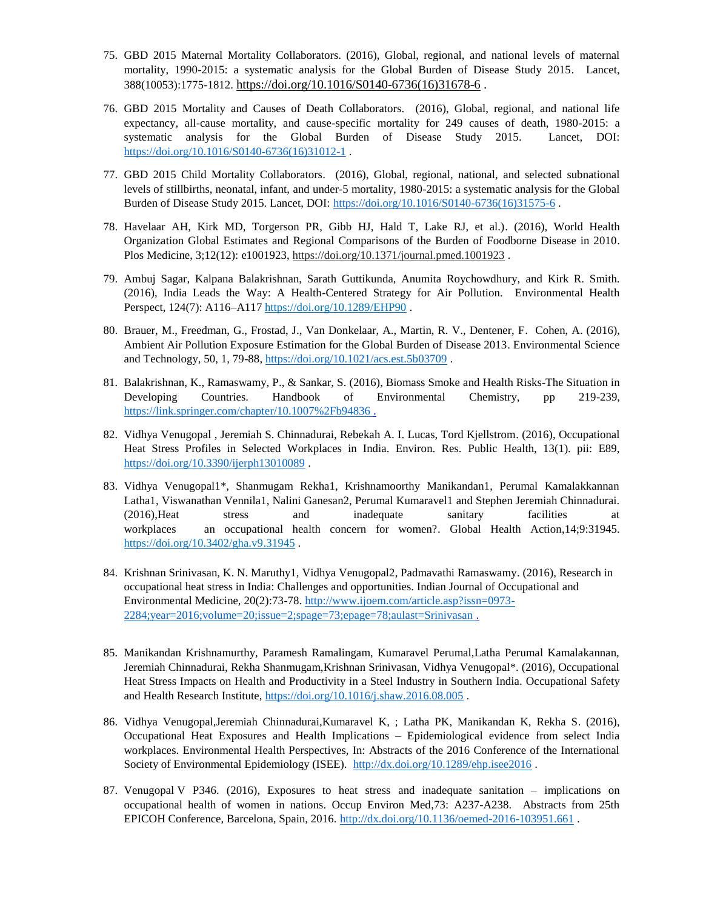- 75. GBD 2015 Maternal Mortality Collaborators. (2016), Global, regional, and national levels of maternal mortality, 1990-2015: a systematic analysis for the Global Burden of Disease Study 2015. Lancet, 388(10053):1775-1812. [https://doi.org/10.1016/S0140-6736\(16\)31678-6](https://doi.org/10.1016/S0140-6736(16)31678-6) .
- 76. GBD 2015 Mortality and Causes of Death Collaborators. (2016), Global, regional, and national life expectancy, all-cause mortality, and cause-specific mortality for 249 causes of death, 1980-2015: a systematic analysis for the Global Burden of Disease Study 2015. Lancet, DOI: [https://doi.org/10.1016/S0140-6736\(16\)31012-1](https://doi.org/10.1016/S0140-6736(16)31012-1).
- 77. GBD 2015 Child Mortality Collaborators. (2016), Global, regional, national, and selected subnational levels of stillbirths, neonatal, infant, and under-5 mortality, 1980-2015: a systematic analysis for the Global Burden of Disease Study 2015. Lancet, DOI: [https://doi.org/10.1016/S0140-6736\(16\)31575-6](https://doi.org/10.1016/S0140-6736(16)31575-6) .
- 78. Havelaar AH, Kirk MD, Torgerson PR, Gibb HJ, Hald T, Lake RJ, et al.). (2016), World Health Organization Global Estimates and Regional Comparisons of the Burden of Foodborne Disease in 2010. Plos Medicine, 3;12(12): e1001923, <https://doi.org/10.1371/journal.pmed.1001923> .
- 79. Ambuj Sagar, Kalpana Balakrishnan, Sarath Guttikunda, Anumita Roychowdhury, and Kirk R. Smith. (2016), India Leads the Way: A Health-Centered Strategy for Air Pollution. Environmental Health Perspect, 124(7): A116-A117 <https://doi.org/10.1289/EHP90>.
- 80. Brauer, M., Freedman, G., Frostad, J., Van Donkelaar, A., Martin, R. V., Dentener, F. Cohen, A. (2016), Ambient Air Pollution Exposure Estimation for the Global Burden of Disease 2013. Environmental Science and Technology, 50, 1, 79-88, <https://doi.org/10.1021/acs.est.5b03709> .
- 81. Balakrishnan, K., Ramaswamy, P., & Sankar, S. (2016), Biomass Smoke and Health Risks-The Situation in Developing Countries. Handbook of Environmental Chemistry, pp 219-239, [https://link.springer.com/chapter/10.1007%2Fb94836 .](https://link.springer.com/chapter/10.1007%2Fb94836)
- 82. Vidhya Venugopal , Jeremiah S. Chinnadurai, Rebekah A. I. Lucas, Tord Kjellstrom. (2016), Occupational Heat Stress Profiles in Selected Workplaces in India. Environ. Res. Public Health, 13(1). pii: E89, <https://doi.org/10.3390/ijerph13010089> .
- 83. Vidhya Venugopal1\*, Shanmugam Rekha1, Krishnamoorthy Manikandan1, Perumal Kamalakkannan Latha1, Viswanathan Vennila1, Nalini Ganesan2, Perumal Kumaravel1 and Stephen Jeremiah Chinnadurai. (2016),Heat stress and inadequate sanitary facilities at workplaces an occupational health concern for women?. Global Health Action,14;9:31945. <https://doi.org/10.3402/gha.v9.31945> .
- 84. Krishnan Srinivasan, K. N. Maruthy1, Vidhya Venugopal2, Padmavathi Ramaswamy. (2016), Research in occupational heat stress in India: Challenges and opportunities. Indian Journal of Occupational and Environmental Medicine, 20(2):73-78. [http://www.ijoem.com/article.asp?issn=0973-](http://www.ijoem.com/article.asp?issn=0973-2284;year=2016;volume=20;issue=2;spage=73;epage=78;aulast=Srinivasan) [2284;year=2016;volume=20;issue=2;spage=73;epage=78;aulast=Srinivasan .](http://www.ijoem.com/article.asp?issn=0973-2284;year=2016;volume=20;issue=2;spage=73;epage=78;aulast=Srinivasan)
- 85. Manikandan Krishnamurthy, Paramesh Ramalingam, Kumaravel Perumal,Latha Perumal Kamalakannan, Jeremiah Chinnadurai, Rekha Shanmugam,Krishnan Srinivasan, Vidhya Venugopal\*. (2016), Occupational Heat Stress Impacts on Health and Productivity in a Steel Industry in Southern India. Occupational Safety and Health Research Institute,<https://doi.org/10.1016/j.shaw.2016.08.005>.
- 86. Vidhya Venugopal,Jeremiah Chinnadurai,Kumaravel K, ; Latha PK, Manikandan K, Rekha S. (2016), Occupational Heat Exposures and Health Implications – Epidemiological evidence from select India workplaces. Environmental Health Perspectives, In: Abstracts of the 2016 Conference of the International Society of Environmental Epidemiology (ISEE). <http://dx.doi.org/10.1289/ehp.isee2016> .
- 87. Venugopal V P346. (2016), Exposures to heat stress and inadequate sanitation implications on occupational health of women in nations. Occup Environ Med,73: A237-A238. Abstracts from 25th EPICOH Conference, Barcelona, Spain, 2016.<http://dx.doi.org/10.1136/oemed-2016-103951.661> .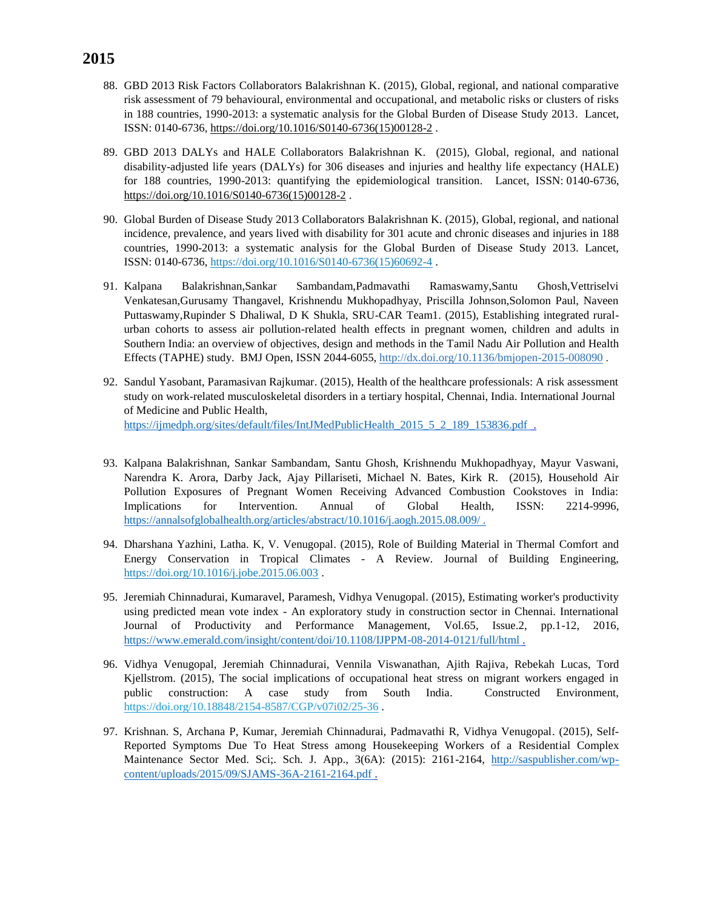- 88. GBD 2013 Risk Factors Collaborators Balakrishnan K. (2015), Global, regional, and national comparative risk assessment of 79 behavioural, environmental and occupational, and metabolic risks or clusters of risks in 188 countries, 1990-2013: a systematic analysis for the Global Burden of Disease Study 2013. Lancet, ISSN: 0140-6736, [https://doi.org/10.1016/S0140-6736\(15\)00128-2](https://doi.org/10.1016/S0140-6736(15)00128-2) .
- 89. GBD 2013 DALYs and HALE Collaborators Balakrishnan K. (2015), Global, regional, and national disability-adjusted life years (DALYs) for 306 diseases and injuries and healthy life expectancy (HALE) for 188 countries, 1990-2013: quantifying the epidemiological transition. Lancet, ISSN: 0140-6736, [https://doi.org/10.1016/S0140-6736\(15\)00128-2](https://doi.org/10.1016/S0140-6736(15)00128-2) .
- 90. Global Burden of Disease Study 2013 Collaborators Balakrishnan K. (2015), Global, regional, and national incidence, prevalence, and years lived with disability for 301 acute and chronic diseases and injuries in 188 countries, 1990-2013: a systematic analysis for the Global Burden of Disease Study 2013. Lancet, ISSN: 0140-6736, [https://doi.org/10.1016/S0140-6736\(15\)60692-4](https://doi.org/10.1016/S0140-6736(15)60692-4) .
- 91. Kalpana Balakrishnan,Sankar Sambandam,Padmavathi Ramaswamy,Santu Ghosh,Vettriselvi Venkatesan,Gurusamy Thangavel, Krishnendu Mukhopadhyay, Priscilla Johnson,Solomon Paul, Naveen Puttaswamy,Rupinder S Dhaliwal, D K Shukla, SRU-CAR Team1. (2015), Establishing integrated ruralurban cohorts to assess air pollution-related health effects in pregnant women, children and adults in Southern India: an overview of objectives, design and methods in the Tamil Nadu Air Pollution and Health Effects (TAPHE) study. BMJ Open, ISSN 2044-6055[, http://dx.doi.org/10.1136/bmjopen-2015-008090](http://dx.doi.org/10.1136/bmjopen-2015-008090) .
- 92. Sandul Yasobant, Paramasivan Rajkumar. (2015), Health of the healthcare professionals: A risk assessment study on work-related musculoskeletal disorders in a tertiary hospital, Chennai, India. International Journal of Medicine and Public Health,

[https://ijmedph.org/sites/default/files/IntJMedPublicHealth\\_2015\\_5\\_2\\_189\\_153836.pdf](https://ijmedph.org/sites/default/files/IntJMedPublicHealth_2015_5_2_189_153836.pdf) .

- 93. Kalpana Balakrishnan, Sankar Sambandam, Santu Ghosh, Krishnendu Mukhopadhyay, Mayur Vaswani, Narendra K. Arora, Darby Jack, Ajay Pillariseti, Michael N. Bates, Kirk R. (2015), Household Air Pollution Exposures of Pregnant Women Receiving Advanced Combustion Cookstoves in India: Implications for Intervention. Annual of Global Health, ISSN: 2214-9996, [https://annalsofglobalhealth.org/articles/abstract/10.1016/j.aogh.2015.08.009/ .](https://annalsofglobalhealth.org/articles/abstract/10.1016/j.aogh.2015.08.009/%20.)
- 94. Dharshana Yazhini, Latha. K, V. Venugopal. (2015), Role of Building Material in Thermal Comfort and Energy Conservation in Tropical Climates - A Review. Journal of Building Engineering, <https://doi.org/10.1016/j.jobe.2015.06.003>.
- 95. Jeremiah Chinnadurai, Kumaravel, Paramesh, Vidhya Venugopal. (2015), Estimating worker's productivity using predicted mean vote index - An exploratory study in construction sector in Chennai. International Journal of Productivity and Performance Management, Vol.65, Issue.2, pp.1-12, 2016, [https://www.emerald.com/insight/content/doi/10.1108/IJPPM-08-2014-0121/full/html .](https://www.emerald.com/insight/content/doi/10.1108/IJPPM-08-2014-0121/full/html)
- 96. Vidhya Venugopal, Jeremiah Chinnadurai, Vennila Viswanathan, Ajith Rajiva, Rebekah Lucas, Tord Kjellstrom. (2015), The social implications of occupational heat stress on migrant workers engaged in public construction: A case study from South India. Constructed Environment, <https://doi.org/10.18848/2154-8587/CGP/v07i02/25-36> .
- 97. Krishnan. S, Archana P, Kumar, Jeremiah Chinnadurai, Padmavathi R, Vidhya Venugopal. (2015), Self-Reported Symptoms Due To Heat Stress among Housekeeping Workers of a Residential Complex Maintenance Sector Med. Sci;. Sch. J. App., 3(6A): (2015): 2161-2164, [http://saspublisher.com/wp](http://saspublisher.com/wp-content/uploads/2015/09/SJAMS-36A-2161-2164.pdf)[content/uploads/2015/09/SJAMS-36A-2161-2164.pdf .](http://saspublisher.com/wp-content/uploads/2015/09/SJAMS-36A-2161-2164.pdf)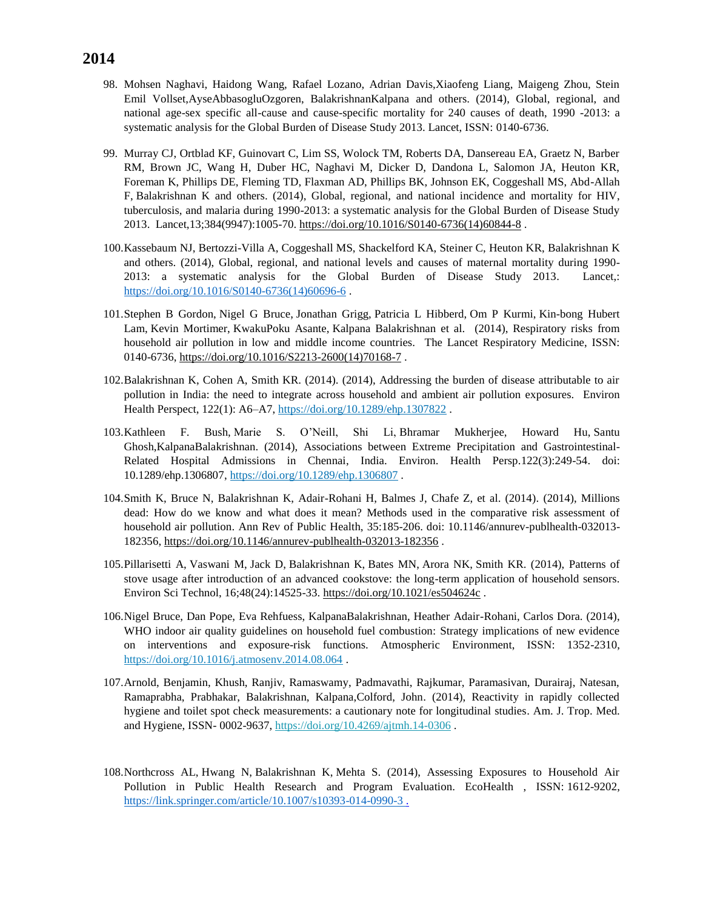- 98. Mohsen Naghavi, Haidong Wang, Rafael Lozano, Adrian Davis,Xiaofeng Liang, Maigeng Zhou, Stein Emil Vollset,AyseAbbasogluOzgoren, BalakrishnanKalpana and others. (2014), Global, regional, and national age-sex specific all-cause and cause-specific mortality for 240 causes of death, 1990 -2013: a systematic analysis for the Global Burden of Disease Study 2013. Lancet, ISSN: 0140-6736.
- 99. Murray CJ, Ortblad KF, Guinovart C, Lim SS, Wolock TM, Roberts DA, Dansereau EA, Graetz N, Barber RM, Brown JC, Wang H, Duber HC, Naghavi M, Dicker D, Dandona L, Salomon JA, Heuton KR, Foreman K, Phillips DE, Fleming TD, Flaxman AD, Phillips BK, Johnson EK, Coggeshall MS, Abd-Allah F, Balakrishnan K and others. (2014), Global, regional, and national incidence and mortality for HIV, tuberculosis, and malaria during 1990-2013: a systematic analysis for the Global Burden of Disease Study 2013. Lancet,13;384(9947):1005-70. [https://doi.org/10.1016/S0140-6736\(14\)60844-8](https://doi.org/10.1016/S0140-6736(14)60844-8).
- 100.Kassebaum NJ, Bertozzi-Villa A, Coggeshall MS, Shackelford KA, Steiner C, Heuton KR, Balakrishnan K and others. (2014), Global, regional, and national levels and causes of maternal mortality during 1990- 2013: a systematic analysis for the Global Burden of Disease Study 2013. Lancet,: [https://doi.org/10.1016/S0140-6736\(14\)60696-6](https://doi.org/10.1016/S0140-6736(14)60696-6).
- 101.Stephen B Gordon, Nigel G Bruce, Jonathan Grigg, Patricia L Hibberd, Om P Kurmi, Kin-bong Hubert Lam, Kevin Mortimer, KwakuPoku Asante, Kalpana Balakrishnan et al. (2014), Respiratory risks from household air pollution in low and middle income countries. The Lancet Respiratory Medicine, ISSN: 0140-6736, [https://doi.org/10.1016/S2213-2600\(14\)70168-7](https://doi.org/10.1016/S2213-2600(14)70168-7) .
- 102.Balakrishnan K, Cohen A, Smith KR. (2014). (2014), Addressing the burden of disease attributable to air pollution in India: the need to integrate across household and ambient air pollution exposures. Environ Health Perspect, 122(1): A6-A7, <https://doi.org/10.1289/ehp.1307822>.
- 103.Kathleen F. Bush, Marie S. O'Neill, Shi Li, Bhramar Mukherjee, Howard Hu, Santu Ghosh,KalpanaBalakrishnan. (2014), Associations between Extreme Precipitation and Gastrointestinal-Related Hospital Admissions in Chennai, India. Environ. Health Persp.122(3):249-54. doi: 10.1289/ehp.1306807,<https://doi.org/10.1289/ehp.1306807> .
- 104.Smith K, Bruce N, Balakrishnan K, Adair-Rohani H, Balmes J, Chafe Z, et al. (2014). (2014), Millions dead: How do we know and what does it mean? Methods used in the comparative risk assessment of household air pollution. Ann Rev of Public Health, 35:185-206. doi: 10.1146/annurev-publhealth-032013- 182356,<https://doi.org/10.1146/annurev-publhealth-032013-182356> .
- 105.Pillarisetti A, Vaswani M, Jack D, Balakrishnan K, Bates MN, Arora NK, Smith KR. (2014), Patterns of stove usage after introduction of an advanced cookstove: the long-term application of household sensors. Environ Sci Technol, 16;48(24):14525-33. <https://doi.org/10.1021/es504624c>.
- 106.Nigel Bruce, Dan Pope, Eva Rehfuess, KalpanaBalakrishnan, Heather Adair-Rohani, Carlos Dora. (2014), WHO indoor air quality guidelines on household fuel combustion: Strategy implications of new evidence on interventions and exposure-risk functions. Atmospheric Environment, ISSN: 1352-2310, <https://doi.org/10.1016/j.atmosenv.2014.08.064>.
- 107.Arnold, Benjamin, Khush, Ranjiv, Ramaswamy, Padmavathi, Rajkumar, Paramasivan, Durairaj, Natesan, Ramaprabha, Prabhakar, Balakrishnan, Kalpana,Colford, John. (2014), Reactivity in rapidly collected hygiene and toilet spot check measurements: a cautionary note for longitudinal studies. Am. J. Trop. Med. and Hygiene, ISSN- 0002-9637[, https://doi.org/10.4269/ajtmh.14-0306](https://doi.org/10.4269/ajtmh.14-0306) .
- 108.Northcross AL, Hwang N, Balakrishnan K, Mehta S. (2014), Assessing Exposures to Household Air Pollution in Public Health Research and Program Evaluation. EcoHealth , ISSN: 1612-9202, https://link.springer.com/article/10.1007/s10393-014-0990-3.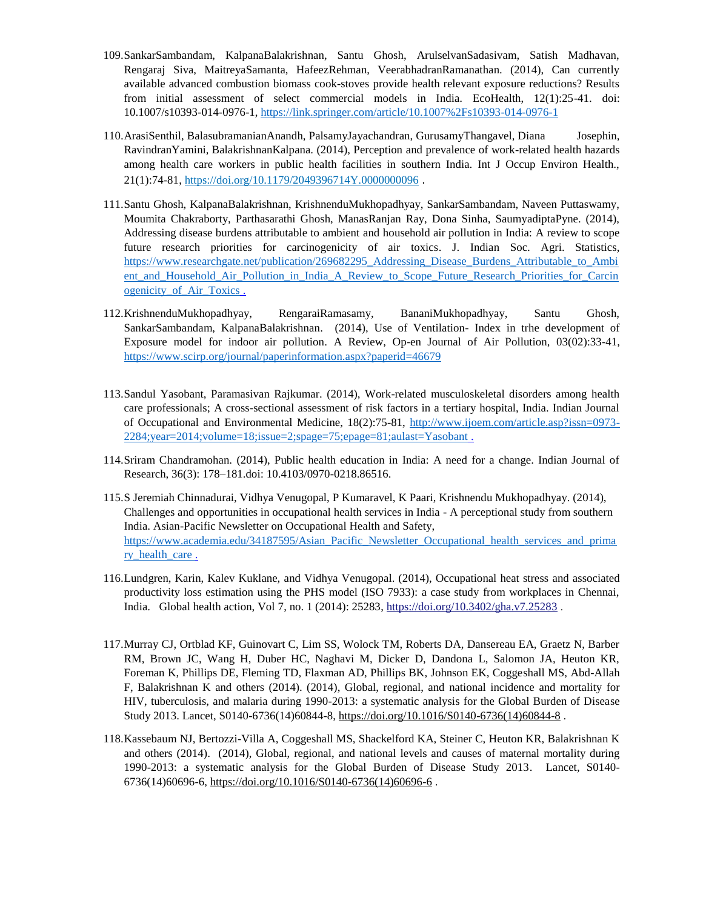- 109.SankarSambandam, KalpanaBalakrishnan, Santu Ghosh, ArulselvanSadasivam, Satish Madhavan, Rengaraj Siva, MaitreyaSamanta, HafeezRehman, VeerabhadranRamanathan. (2014), Can currently available advanced combustion biomass cook-stoves provide health relevant exposure reductions? Results from initial assessment of select commercial models in India. EcoHealth, 12(1):25-41. doi: 10.1007/s10393-014-0976-1,<https://link.springer.com/article/10.1007%2Fs10393-014-0976-1>
- 110.ArasiSenthil, BalasubramanianAnandh, PalsamyJayachandran, GurusamyThangavel, Diana Josephin, RavindranYamini, BalakrishnanKalpana. (2014), Perception and prevalence of work-related health hazards among health care workers in public health facilities in southern India. Int J Occup Environ Health., 21(1):74-81,<https://doi.org/10.1179/2049396714Y.0000000096> .
- 111.Santu Ghosh, KalpanaBalakrishnan, KrishnenduMukhopadhyay, SankarSambandam, Naveen Puttaswamy, Moumita Chakraborty, Parthasarathi Ghosh, ManasRanjan Ray, Dona Sinha, SaumyadiptaPyne. (2014), Addressing disease burdens attributable to ambient and household air pollution in India: A review to scope future research priorities for carcinogenicity of air toxics. J. Indian Soc. Agri. Statistics, [https://www.researchgate.net/publication/269682295\\_Addressing\\_Disease\\_Burdens\\_Attributable\\_to\\_Ambi](https://www.researchgate.net/publication/269682295_Addressing_Disease_Burdens_Attributable_to_Ambient_and_Household_Air_Pollution_in_India_A_Review_to_Scope_Future_Research_Priorities_for_Carcinogenicity_of_Air_Toxics) ent and Household Air Pollution in India A Review to Scope Future Research Priorities for Carcin [ogenicity\\_of\\_Air\\_Toxics](https://www.researchgate.net/publication/269682295_Addressing_Disease_Burdens_Attributable_to_Ambient_and_Household_Air_Pollution_in_India_A_Review_to_Scope_Future_Research_Priorities_for_Carcinogenicity_of_Air_Toxics) .
- 112.KrishnenduMukhopadhyay, RengaraiRamasamy, BananiMukhopadhyay, Santu Ghosh, SankarSambandam, KalpanaBalakrishnan. (2014), Use of Ventilation- Index in trhe development of Exposure model for indoor air pollution. A Review, Op-en Journal of Air Pollution, 03(02):33-41, <https://www.scirp.org/journal/paperinformation.aspx?paperid=46679>
- 113.Sandul Yasobant, Paramasivan Rajkumar. (2014), Work-related musculoskeletal disorders among health care professionals; A cross-sectional assessment of risk factors in a tertiary hospital, India. Indian Journal of Occupational and Environmental Medicine, 18(2):75-81, [http://www.ijoem.com/article.asp?issn=0973-](http://www.ijoem.com/article.asp?issn=0973-2284;year=2014;volume=18;issue=2;spage=75;epage=81;aulast=Yasobant) [2284;year=2014;volume=18;issue=2;spage=75;epage=81;aulast=Yasobant](http://www.ijoem.com/article.asp?issn=0973-2284;year=2014;volume=18;issue=2;spage=75;epage=81;aulast=Yasobant) .
- 114.Sriram Chandramohan. (2014), Public health education in India: A need for a change. Indian Journal of Research, 36(3): 178–181.doi: 10.4103/0970-0218.86516.
- 115.S Jeremiah Chinnadurai, Vidhya Venugopal, P Kumaravel, K Paari, Krishnendu Mukhopadhyay. (2014), Challenges and opportunities in occupational health services in India - A perceptional study from southern India. Asian-Pacific Newsletter on Occupational Health and Safety, [https://www.academia.edu/34187595/Asian\\_Pacific\\_Newsletter\\_Occupational\\_health\\_services\\_and\\_prima](https://www.academia.edu/34187595/Asian_Pacific_Newsletter_Occupational_health_services_and_primary_health_care) ry health care .
- 116.Lundgren, Karin, Kalev Kuklane, and Vidhya Venugopal. (2014), Occupational heat stress and associated productivity loss estimation using the PHS model (ISO 7933): a case study from workplaces in Chennai, India. Global health action, Vol 7, no. 1 (2014): 25283[, https://doi.org/10.3402/gha.v7.25283](https://doi.org/10.3402/gha.v7.25283) .
- 117.Murray CJ, Ortblad KF, Guinovart C, Lim SS, Wolock TM, Roberts DA, Dansereau EA, Graetz N, Barber RM, Brown JC, Wang H, Duber HC, Naghavi M, Dicker D, Dandona L, Salomon JA, Heuton KR, Foreman K, Phillips DE, Fleming TD, Flaxman AD, Phillips BK, Johnson EK, Coggeshall MS, Abd-Allah F, Balakrishnan K and others (2014). (2014), Global, regional, and national incidence and mortality for HIV, tuberculosis, and malaria during 1990-2013: a systematic analysis for the Global Burden of Disease Study 2013. Lancet, S0140-6736(14)60844-8, [https://doi.org/10.1016/S0140-6736\(14\)60844-8](https://doi.org/10.1016/S0140-6736(14)60844-8) .
- 118.Kassebaum NJ, Bertozzi-Villa A, Coggeshall MS, Shackelford KA, Steiner C, Heuton KR, Balakrishnan K and others (2014). (2014), Global, regional, and national levels and causes of maternal mortality during 1990-2013: a systematic analysis for the Global Burden of Disease Study 2013. Lancet, S0140- 6736(14)60696-6, [https://doi.org/10.1016/S0140-6736\(14\)60696-6](https://doi.org/10.1016/S0140-6736(14)60696-6) .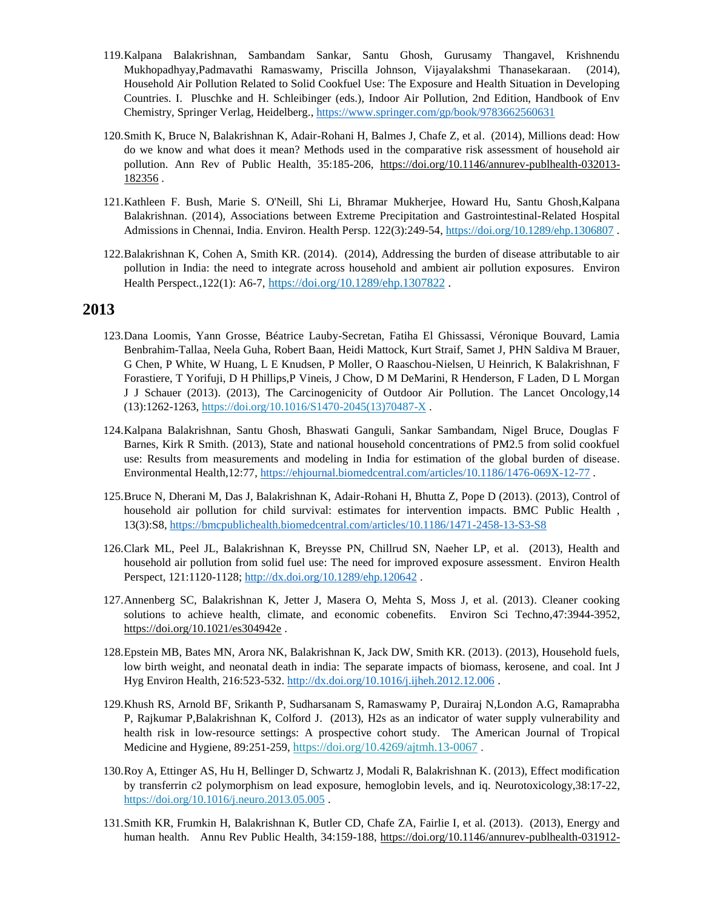- 119.Kalpana Balakrishnan, Sambandam Sankar, Santu Ghosh, Gurusamy Thangavel, Krishnendu Mukhopadhyay,Padmavathi Ramaswamy, Priscilla Johnson, Vijayalakshmi Thanasekaraan. (2014), Household Air Pollution Related to Solid Cookfuel Use: The Exposure and Health Situation in Developing Countries. I. Pluschke and H. Schleibinger (eds.), Indoor Air Pollution, 2nd Edition, Handbook of Env Chemistry, Springer Verlag, Heidelberg., <https://www.springer.com/gp/book/9783662560631>
- 120.Smith K, Bruce N, Balakrishnan K, Adair-Rohani H, Balmes J, Chafe Z, et al. (2014), Millions dead: How do we know and what does it mean? Methods used in the comparative risk assessment of household air pollution. Ann Rev of Public Health, 35:185-206, [https://doi.org/10.1146/annurev-publhealth-032013-](https://doi.org/10.1146/annurev-publhealth-032013-182356) [182356](https://doi.org/10.1146/annurev-publhealth-032013-182356) .
- 121.Kathleen F. Bush, Marie S. O'Neill, Shi Li, Bhramar Mukherjee, Howard Hu, Santu Ghosh,Kalpana Balakrishnan. (2014), Associations between Extreme Precipitation and Gastrointestinal-Related Hospital Admissions in Chennai, India. Environ. Health Persp. 122(3):249-54,<https://doi.org/10.1289/ehp.1306807>.
- 122.Balakrishnan K, Cohen A, Smith KR. (2014). (2014), Addressing the burden of disease attributable to air pollution in India: the need to integrate across household and ambient air pollution exposures. Environ Health Perspect.,122(1): A6-7, <https://doi.org/10.1289/ehp.1307822> .

- 123.Dana Loomis, Yann Grosse, Béatrice Lauby-Secretan, Fatiha El Ghissassi, Véronique Bouvard, Lamia Benbrahim-Tallaa, Neela Guha, Robert Baan, Heidi Mattock, Kurt Straif, Samet J, PHN Saldiva M Brauer, G Chen, P White, W Huang, L E Knudsen, P Moller, O Raaschou-Nielsen, U Heinrich, K Balakrishnan, F Forastiere, T Yorifuji, D H Phillips,P Vineis, J Chow, D M DeMarini, R Henderson, F Laden, D L Morgan J J Schauer (2013). (2013), The Carcinogenicity of Outdoor Air Pollution. The Lancet Oncology,14 (13):1262-1263, [https://doi.org/10.1016/S1470-2045\(13\)70487-X](https://doi.org/10.1016/S1470-2045(13)70487-X) .
- 124.Kalpana Balakrishnan, Santu Ghosh, Bhaswati Ganguli, Sankar Sambandam, Nigel Bruce, Douglas F Barnes, Kirk R Smith. (2013), State and national household concentrations of PM2.5 from solid cookfuel use: Results from measurements and modeling in India for estimation of the global burden of disease. Environmental Health,12:77,<https://ehjournal.biomedcentral.com/articles/10.1186/1476-069X-12-77> .
- 125.Bruce N, Dherani M, Das J, Balakrishnan K, Adair-Rohani H, Bhutta Z, Pope D (2013). (2013), Control of household air pollution for child survival: estimates for intervention impacts. BMC Public Health , 13(3):S8,<https://bmcpublichealth.biomedcentral.com/articles/10.1186/1471-2458-13-S3-S8>
- 126.Clark ML, Peel JL, Balakrishnan K, Breysse PN, Chillrud SN, Naeher LP, et al. (2013), Health and household air pollution from solid fuel use: The need for improved exposure assessment. Environ Health Perspect, 121:1120-1128;<http://dx.doi.org/10.1289/ehp.120642> .
- 127.Annenberg SC, Balakrishnan K, Jetter J, Masera O, Mehta S, Moss J, et al. (2013). Cleaner cooking solutions to achieve health, climate, and economic cobenefits. Environ Sci Techno,47:3944-3952, <https://doi.org/10.1021/es304942e>.
- 128.Epstein MB, Bates MN, Arora NK, Balakrishnan K, Jack DW, Smith KR. (2013). (2013), Household fuels, low birth weight, and neonatal death in india: The separate impacts of biomass, kerosene, and coal. Int J Hyg Environ Health, 216:523-532.<http://dx.doi.org/10.1016/j.ijheh.2012.12.006> .
- 129.Khush RS, Arnold BF, Srikanth P, Sudharsanam S, Ramaswamy P, Durairaj N,London A.G, Ramaprabha P, Rajkumar P,Balakrishnan K, Colford J. (2013), H2s as an indicator of water supply vulnerability and health risk in low-resource settings: A prospective cohort study. The American Journal of Tropical Medicine and Hygiene, 89:251-259, <https://doi.org/10.4269/ajtmh.13-0067>.
- 130.Roy A, Ettinger AS, Hu H, Bellinger D, Schwartz J, Modali R, Balakrishnan K. (2013), Effect modification by transferrin c2 polymorphism on lead exposure, hemoglobin levels, and iq. Neurotoxicology,38:17-22, <https://doi.org/10.1016/j.neuro.2013.05.005>.
- 131.Smith KR, Frumkin H, Balakrishnan K, Butler CD, Chafe ZA, Fairlie I, et al. (2013). (2013), Energy and human health. Annu Rev Public Health, 34:159-188, [https://doi.org/10.1146/annurev-publhealth-031912-](https://doi.org/10.1146/annurev-publhealth-031912-114404)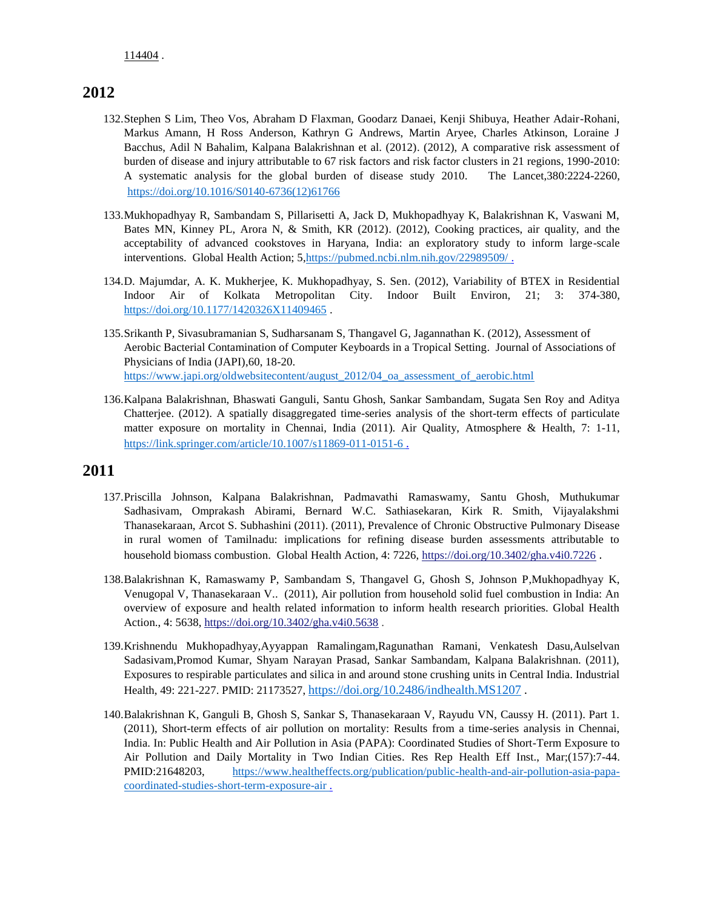- 132.Stephen S Lim, Theo Vos, Abraham D Flaxman, Goodarz Danaei, Kenji Shibuya, Heather Adair-Rohani, Markus Amann, H Ross Anderson, Kathryn G Andrews, Martin Aryee, Charles Atkinson, Loraine J Bacchus, Adil N Bahalim, Kalpana Balakrishnan et al. (2012). (2012), A comparative risk assessment of burden of disease and injury attributable to 67 risk factors and risk factor clusters in 21 regions, 1990-2010: A systematic analysis for the global burden of disease study 2010. The Lancet,380:2224-2260, :[https://doi.org/10.1016/S0140-6736\(12\)61766](https://doi.org/10.1016/S0140-6736(12)61766-8)
- 133.Mukhopadhyay R, Sambandam S, Pillarisetti A, Jack D, Mukhopadhyay K, Balakrishnan K, Vaswani M, Bates MN, Kinney PL, Arora N, & Smith, KR (2012). (2012), Cooking practices, air quality, and the acceptability of advanced cookstoves in Haryana, India: an exploratory study to inform large-scale interventions. Global Health Action; 5[,https://pubmed.ncbi.nlm.nih.gov/22989509/ .](https://pubmed.ncbi.nlm.nih.gov/22989509/)
- 134.D. Majumdar, A. K. Mukherjee, K. Mukhopadhyay, S. Sen. (2012), Variability of BTEX in Residential Indoor Air of Kolkata Metropolitan City. Indoor Built Environ, 21; 3: 374-380, [https://doi.org/10.1177/1420326X11409465](https://doi.org/10.1177%2F1420326X11409465).
- 135.Srikanth P, Sivasubramanian S, Sudharsanam S, Thangavel G, Jagannathan K. (2012), Assessment of Aerobic Bacterial Contamination of Computer Keyboards in a Tropical Setting. Journal of Associations of Physicians of India (JAPI),60, 18-20. [https://www.japi.org/oldwebsitecontent/august\\_2012/04\\_oa\\_assessment\\_of\\_aerobic.html](https://www.japi.org/oldwebsitecontent/august_2012/04_oa_assessment_of_aerobic.html)
- 136.Kalpana Balakrishnan, Bhaswati Ganguli, Santu Ghosh, Sankar Sambandam, Sugata Sen Roy and Aditya Chatterjee. (2012). A spatially disaggregated time-series analysis of the short-term effects of particulate matter exposure on mortality in Chennai, India (2011). Air Quality, Atmosphere & Health, 7: 1-11, <https://link.springer.com/article/10.1007/s11869-011-0151-6> .

- 137.Priscilla Johnson, Kalpana Balakrishnan, Padmavathi Ramaswamy, Santu Ghosh, Muthukumar Sadhasivam, Omprakash Abirami, Bernard W.C. Sathiasekaran, Kirk R. Smith, Vijayalakshmi Thanasekaraan, Arcot S. Subhashini (2011). (2011), Prevalence of Chronic Obstructive Pulmonary Disease in rural women of Tamilnadu: implications for refining disease burden assessments attributable to household biomass combustion. Global Health Action, 4: 7226[, https://doi.org/10.3402/gha.v4i0.7226](https://doi.org/10.3402/gha.v4i0.7226).
- 138.Balakrishnan K, Ramaswamy P, Sambandam S, Thangavel G, Ghosh S, Johnson P,Mukhopadhyay K, Venugopal V, Thanasekaraan V.. (2011), Air pollution from household solid fuel combustion in India: An overview of exposure and health related information to inform health research priorities. Global Health Action., 4: 5638,<https://doi.org/10.3402/gha.v4i0.5638>.
- 139.Krishnendu Mukhopadhyay,Ayyappan Ramalingam,Ragunathan Ramani, Venkatesh Dasu,Aulselvan Sadasivam,Promod Kumar, Shyam Narayan Prasad, Sankar Sambandam, Kalpana Balakrishnan. (2011), Exposures to respirable particulates and silica in and around stone crushing units in Central India. Industrial Health, 49: 221-227. PMID: 21173527, <https://doi.org/10.2486/indhealth.MS1207> .
- 140.Balakrishnan K, Ganguli B, Ghosh S, Sankar S, Thanasekaraan V, Rayudu VN, Caussy H. (2011). Part 1. (2011), Short-term effects of air pollution on mortality: Results from a time-series analysis in Chennai, India. In: Public Health and Air Pollution in Asia (PAPA): Coordinated Studies of Short-Term Exposure to Air Pollution and Daily Mortality in Two Indian Cities. Res Rep Health Eff Inst., Mar;(157):7-44. PMID:21648203, [https://www.healtheffects.org/publication/public-health-and-air-pollution-asia-papa](https://www.healtheffects.org/publication/public-health-and-air-pollution-asia-papa-coordinated-studies-short-term-exposure-air)[coordinated-studies-short-term-exposure-air .](https://www.healtheffects.org/publication/public-health-and-air-pollution-asia-papa-coordinated-studies-short-term-exposure-air)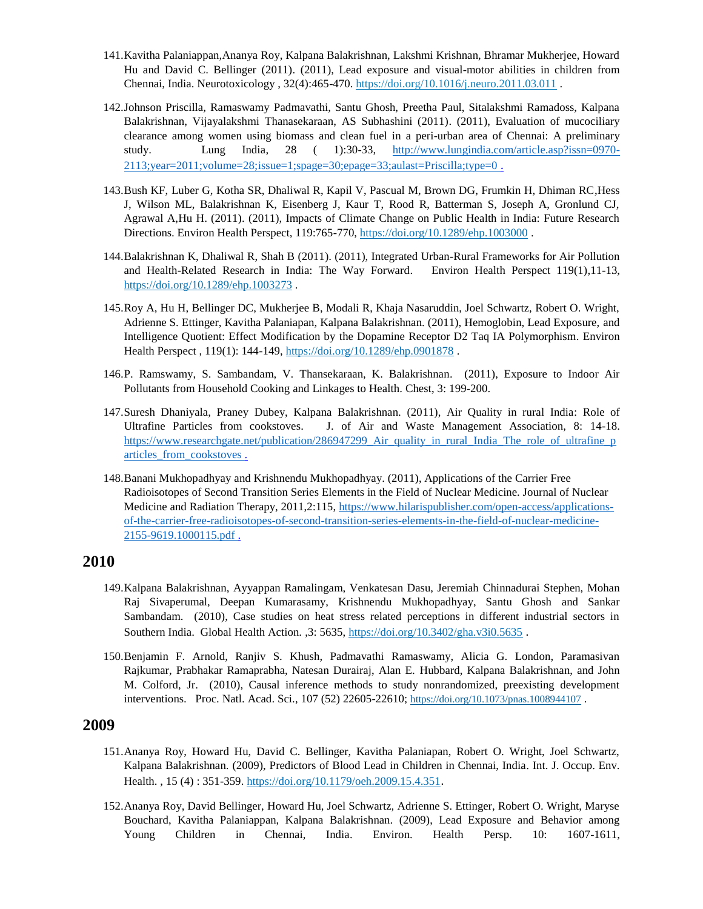- 141.Kavitha Palaniappan,Ananya Roy, Kalpana Balakrishnan, Lakshmi Krishnan, Bhramar Mukherjee, Howard Hu and David C. Bellinger (2011). (2011), Lead exposure and visual-motor abilities in children from Chennai, India. Neurotoxicology , 32(4):465-470. <https://doi.org/10.1016/j.neuro.2011.03.011> .
- 142.Johnson Priscilla, Ramaswamy Padmavathi, Santu Ghosh, Preetha Paul, Sitalakshmi Ramadoss, Kalpana Balakrishnan, Vijayalakshmi Thanasekaraan, AS Subhashini (2011). (2011), Evaluation of mucociliary clearance among women using biomass and clean fuel in a peri-urban area of Chennai: A preliminary study. Lung India, 28 ( 1):30-33, [http://www.lungindia.com/article.asp?issn=0970-](http://www.lungindia.com/article.asp?issn=0970-2113;year=2011;volume=28;issue=1;spage=30;epage=33;aulast=Priscilla;type=0) [2113;year=2011;volume=28;issue=1;spage=30;epage=33;aulast=Priscilla;type=0](http://www.lungindia.com/article.asp?issn=0970-2113;year=2011;volume=28;issue=1;spage=30;epage=33;aulast=Priscilla;type=0) .
- 143.Bush KF, Luber G, Kotha SR, Dhaliwal R, Kapil V, Pascual M, Brown DG, Frumkin H, Dhiman RC,Hess J, Wilson ML, Balakrishnan K, Eisenberg J, Kaur T, Rood R, Batterman S, Joseph A, Gronlund CJ, Agrawal A,Hu H. (2011). (2011), Impacts of Climate Change on Public Health in India: Future Research Directions. Environ Health Perspect, 119:765-770[, https://doi.org/10.1289/ehp.1003000](https://doi.org/10.1289/ehp.1003000) .
- 144.Balakrishnan K, Dhaliwal R, Shah B (2011). (2011), Integrated Urban-Rural Frameworks for Air Pollution and Health-Related Research in India: The Way Forward. Environ Health Perspect 119(1),11-13, <https://doi.org/10.1289/ehp.1003273> .
- 145.Roy A, Hu H, Bellinger DC, Mukherjee B, Modali R, Khaja Nasaruddin, Joel Schwartz, Robert O. Wright, Adrienne S. Ettinger, Kavitha Palaniapan, Kalpana Balakrishnan. (2011), Hemoglobin, Lead Exposure, and Intelligence Quotient: Effect Modification by the Dopamine Receptor D2 Taq IA Polymorphism. Environ Health Perspect, 119(1): 144-149,<https://doi.org/10.1289/ehp.0901878>.
- 146.P. Ramswamy, S. Sambandam, V. Thansekaraan, K. Balakrishnan. (2011), Exposure to Indoor Air Pollutants from Household Cooking and Linkages to Health. Chest, 3: 199-200.
- 147.Suresh Dhaniyala, Praney Dubey, Kalpana Balakrishnan. (2011), Air Quality in rural India: Role of Ultrafine Particles from cookstoves. J. of Air and Waste Management Association, 8: 14-18. [https://www.researchgate.net/publication/286947299\\_Air\\_quality\\_in\\_rural\\_India\\_The\\_role\\_of\\_ultrafine\\_p](https://www.researchgate.net/publication/286947299_Air_quality_in_rural_India_The_role_of_ultrafine_particles_from_cookstoves) [articles\\_from\\_cookstoves .](https://www.researchgate.net/publication/286947299_Air_quality_in_rural_India_The_role_of_ultrafine_particles_from_cookstoves)
- 148.Banani Mukhopadhyay and Krishnendu Mukhopadhyay. (2011), Applications of the Carrier Free Radioisotopes of Second Transition Series Elements in the Field of Nuclear Medicine. Journal of Nuclear Medicine and Radiation Therapy, 2011,2:115, [https://www.hilarispublisher.com/open-access/applications](https://www.hilarispublisher.com/open-access/applications-of-the-carrier-free-radioisotopes-of-second-transition-series-elements-in-the-field-of-nuclear-medicine-2155-9619.1000115.pdf)[of-the-carrier-free-radioisotopes-of-second-transition-series-elements-in-the-field-of-nuclear-medicine-](https://www.hilarispublisher.com/open-access/applications-of-the-carrier-free-radioisotopes-of-second-transition-series-elements-in-the-field-of-nuclear-medicine-2155-9619.1000115.pdf)[2155-9619.1000115.pdf .](https://www.hilarispublisher.com/open-access/applications-of-the-carrier-free-radioisotopes-of-second-transition-series-elements-in-the-field-of-nuclear-medicine-2155-9619.1000115.pdf)

- 149.Kalpana Balakrishnan, Ayyappan Ramalingam, Venkatesan Dasu, Jeremiah Chinnadurai Stephen, Mohan Raj Sivaperumal, Deepan Kumarasamy, Krishnendu Mukhopadhyay, Santu Ghosh and Sankar Sambandam. (2010), Case studies on heat stress related perceptions in different industrial sectors in Southern India. Global Health Action. ,3: 5635[, https://doi.org/10.3402/gha.v3i0.5635](https://doi.org/10.3402/gha.v3i0.5635) .
- 150.Benjamin F. Arnold, Ranjiv S. Khush, Padmavathi Ramaswamy, Alicia G. London, Paramasivan Rajkumar, Prabhakar Ramaprabha, Natesan Durairaj, Alan E. Hubbard, Kalpana Balakrishnan, and John M. Colford, Jr. (2010), Causal inference methods to study nonrandomized, preexisting development interventions. Proc. Natl. Acad. Sci., 107 (52) 22605-22610; <https://doi.org/10.1073/pnas.1008944107> .

- 151.Ananya Roy, Howard Hu, David C. Bellinger, Kavitha Palaniapan, Robert O. Wright, Joel Schwartz, Kalpana Balakrishnan. (2009), Predictors of Blood Lead in Children in Chennai, India. Int. J. Occup. Env. Health. , 15 (4) : 351-359. <https://doi.org/10.1179/oeh.2009.15.4.351>.
- 152.Ananya Roy, David Bellinger, Howard Hu, Joel Schwartz, Adrienne S. Ettinger, Robert O. Wright, Maryse Bouchard, Kavitha Palaniappan, Kalpana Balakrishnan. (2009), Lead Exposure and Behavior among Young Children in Chennai, India. Environ. Health Persp. 10: 1607-1611,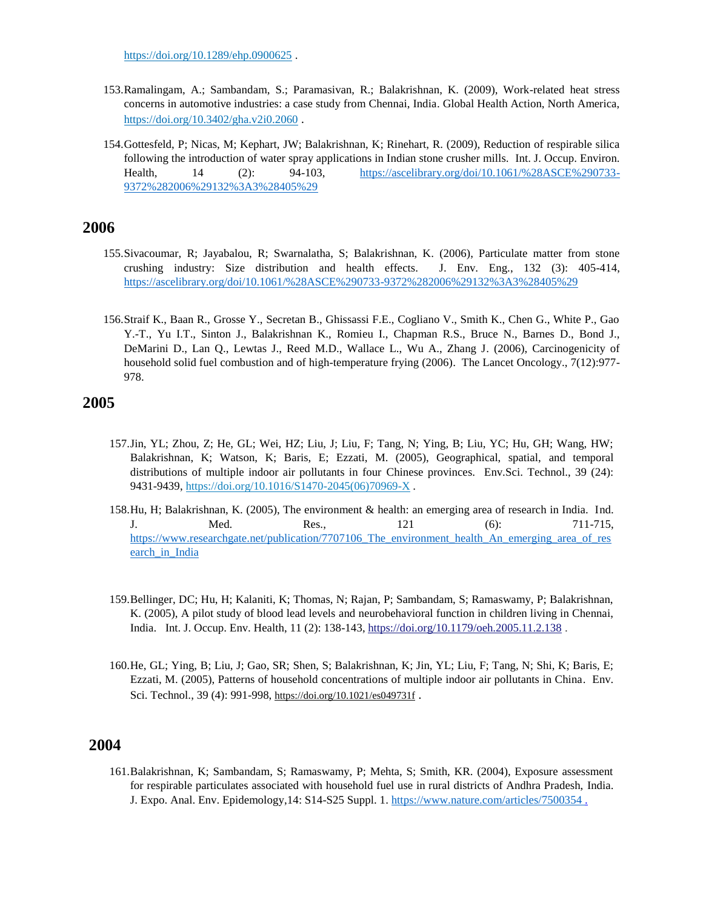<https://doi.org/10.1289/ehp.0900625> .

- 153.Ramalingam, A.; Sambandam, S.; Paramasivan, R.; Balakrishnan, K. (2009), Work-related heat stress concerns in automotive industries: a case study from Chennai, India. Global Health Action, North America, <https://doi.org/10.3402/gha.v2i0.2060> .
- 154.Gottesfeld, P; Nicas, M; Kephart, JW; Balakrishnan, K; Rinehart, R. (2009), Reduction of respirable silica following the introduction of water spray applications in Indian stone crusher mills. Int. J. Occup. Environ. Health, 14 (2): 94-103, [https://ascelibrary.org/doi/10.1061/%28ASCE%290733-](https://ascelibrary.org/doi/10.1061/%28ASCE%290733-9372%282006%29132%3A3%28405%29) [9372%282006%29132%3A3%28405%29](https://ascelibrary.org/doi/10.1061/%28ASCE%290733-9372%282006%29132%3A3%28405%29)

## **2006**

- 155.Sivacoumar, R; Jayabalou, R; Swarnalatha, S; Balakrishnan, K. (2006), Particulate matter from stone crushing industry: Size distribution and health effects. J. Env. Eng., 132 (3): 405-414, <https://ascelibrary.org/doi/10.1061/%28ASCE%290733-9372%282006%29132%3A3%28405%29>
- 156.Straif K., Baan R., Grosse Y., Secretan B., Ghissassi F.E., Cogliano V., Smith K., Chen G., White P., Gao Y.-T., Yu I.T., Sinton J., Balakrishnan K., Romieu I., Chapman R.S., Bruce N., Barnes D., Bond J., DeMarini D., Lan Q., Lewtas J., Reed M.D., Wallace L., Wu A., Zhang J. (2006), Carcinogenicity of household solid fuel combustion and of high-temperature frying (2006). The Lancet Oncology., 7(12):977- 978.

## **2005**

- 157.Jin, YL; Zhou, Z; He, GL; Wei, HZ; Liu, J; Liu, F; Tang, N; Ying, B; Liu, YC; Hu, GH; Wang, HW; Balakrishnan, K; Watson, K; Baris, E; Ezzati, M. (2005), Geographical, spatial, and temporal distributions of multiple indoor air pollutants in four Chinese provinces. Env.Sci. Technol., 39 (24): 9431-9439[, https://doi.org/10.1016/S1470-2045\(06\)70969-X](https://doi.org/10.1016/S1470-2045(06)70969-X).
- 158.Hu, H; Balakrishnan, K. (2005), The environment & health: an emerging area of research in India. Ind. J. Med. Res., 121 (6): 711-715, [https://www.researchgate.net/publication/7707106\\_The\\_environment\\_health\\_An\\_emerging\\_area\\_of\\_res](https://www.researchgate.net/publication/7707106_The_environment_health_An_emerging_area_of_research_in_India) [earch\\_in\\_India](https://www.researchgate.net/publication/7707106_The_environment_health_An_emerging_area_of_research_in_India)
- 159.Bellinger, DC; Hu, H; Kalaniti, K; Thomas, N; Rajan, P; Sambandam, S; Ramaswamy, P; Balakrishnan, K. (2005), A pilot study of blood lead levels and neurobehavioral function in children living in Chennai, India. Int. J. Occup. Env. Health, 11 (2): 138-143[, https://doi.org/10.1179/oeh.2005.11.2.138](https://doi.org/10.1179/oeh.2005.11.2.138) .
- 160.He, GL; Ying, B; Liu, J; Gao, SR; Shen, S; Balakrishnan, K; Jin, YL; Liu, F; Tang, N; Shi, K; Baris, E; Ezzati, M. (2005), Patterns of household concentrations of multiple indoor air pollutants in China. Env. Sci. Technol., 39 (4): 991-998, <https://doi.org/10.1021/es049731f>.

## **2004**

161.Balakrishnan, K; Sambandam, S; Ramaswamy, P; Mehta, S; Smith, KR. (2004), Exposure assessment for respirable particulates associated with household fuel use in rural districts of Andhra Pradesh, India. J. Expo. Anal. Env. Epidemology,14: S14-S25 Suppl. 1. [https://www.nature.com/articles/7500354 .](https://www.nature.com/articles/7500354)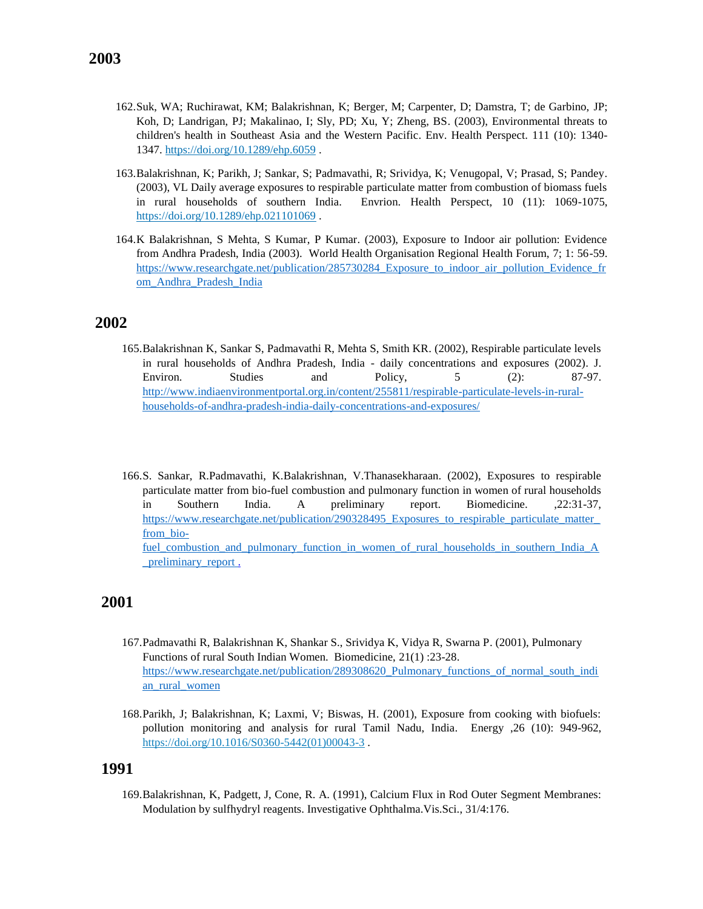- 162.Suk, WA; Ruchirawat, KM; Balakrishnan, K; Berger, M; Carpenter, D; Damstra, T; de Garbino, JP; Koh, D; Landrigan, PJ; Makalinao, I; Sly, PD; Xu, Y; Zheng, BS. (2003), Environmental threats to children's health in Southeast Asia and the Western Pacific. Env. Health Perspect. 111 (10): 1340- 1347.<https://doi.org/10.1289/ehp.6059> .
- 163.Balakrishnan, K; Parikh, J; Sankar, S; Padmavathi, R; Srividya, K; Venugopal, V; Prasad, S; Pandey. (2003), VL Daily average exposures to respirable particulate matter from combustion of biomass fuels in rural households of southern India. Envrion. Health Perspect, 10 (11): 1069-1075, <https://doi.org/10.1289/ehp.021101069> .
- 164.K Balakrishnan, S Mehta, S Kumar, P Kumar. (2003), Exposure to Indoor air pollution: Evidence from Andhra Pradesh, India (2003). World Health Organisation Regional Health Forum, 7; 1: 56-59. [https://www.researchgate.net/publication/285730284\\_Exposure\\_to\\_indoor\\_air\\_pollution\\_Evidence\\_fr](https://www.researchgate.net/publication/285730284_Exposure_to_indoor_air_pollution_Evidence_from_Andhra_Pradesh_India) [om\\_Andhra\\_Pradesh\\_India](https://www.researchgate.net/publication/285730284_Exposure_to_indoor_air_pollution_Evidence_from_Andhra_Pradesh_India)

- 165.Balakrishnan K, Sankar S, Padmavathi R, Mehta S, Smith KR. (2002), Respirable particulate levels in rural households of Andhra Pradesh, India - daily concentrations and exposures (2002). J. Environ. Studies and Policy, 5 (2): 87-97. [http://www.indiaenvironmentportal.org.in/content/255811/respirable-particulate-levels-in-rural](http://www.indiaenvironmentportal.org.in/content/255811/respirable-particulate-levels-in-rural-households-of-andhra-pradesh-india-daily-concentrations-and-exposures/)[households-of-andhra-pradesh-india-daily-concentrations-and-exposures/](http://www.indiaenvironmentportal.org.in/content/255811/respirable-particulate-levels-in-rural-households-of-andhra-pradesh-india-daily-concentrations-and-exposures/)
- 166.S. Sankar, R.Padmavathi, K.Balakrishnan, V.Thanasekharaan. (2002), Exposures to respirable particulate matter from bio-fuel combustion and pulmonary function in women of rural households in Southern India. A preliminary report. Biomedicine. ,22:31-37, https://www.researchgate.net/publication/290328495 Exposures to respirable particulate matter [from\\_bio](https://www.researchgate.net/publication/290328495_Exposures_to_respirable_particulate_matter_from_bio-fuel_combustion_and_pulmonary_function_in_women_of_rural_households_in_southern_India_A_preliminary_report)fuel combustion and pulmonary function in women of rural households in southern India A preliminary report.

## **2001**

- 167.Padmavathi R, Balakrishnan K, Shankar S., Srividya K, Vidya R, Swarna P. (2001), Pulmonary Functions of rural South Indian Women. Biomedicine, 21(1) :23-28. [https://www.researchgate.net/publication/289308620\\_Pulmonary\\_functions\\_of\\_normal\\_south\\_indi](https://www.researchgate.net/publication/289308620_Pulmonary_functions_of_normal_south_indian_rural_women) [an\\_rural\\_women](https://www.researchgate.net/publication/289308620_Pulmonary_functions_of_normal_south_indian_rural_women)
- 168.Parikh, J; Balakrishnan, K; Laxmi, V; Biswas, H. (2001), Exposure from cooking with biofuels: pollution monitoring and analysis for rural Tamil Nadu, India. Energy ,26 (10): 949-962, [https://doi.org/10.1016/S0360-5442\(01\)00043-3](https://doi.org/10.1016/S0360-5442(01)00043-3) .

#### **1991**

169.Balakrishnan, K, Padgett, J, Cone, R. A. (1991), Calcium Flux in Rod Outer Segment Membranes: Modulation by sulfhydryl reagents. Investigative Ophthalma.Vis.Sci., 31/4:176.